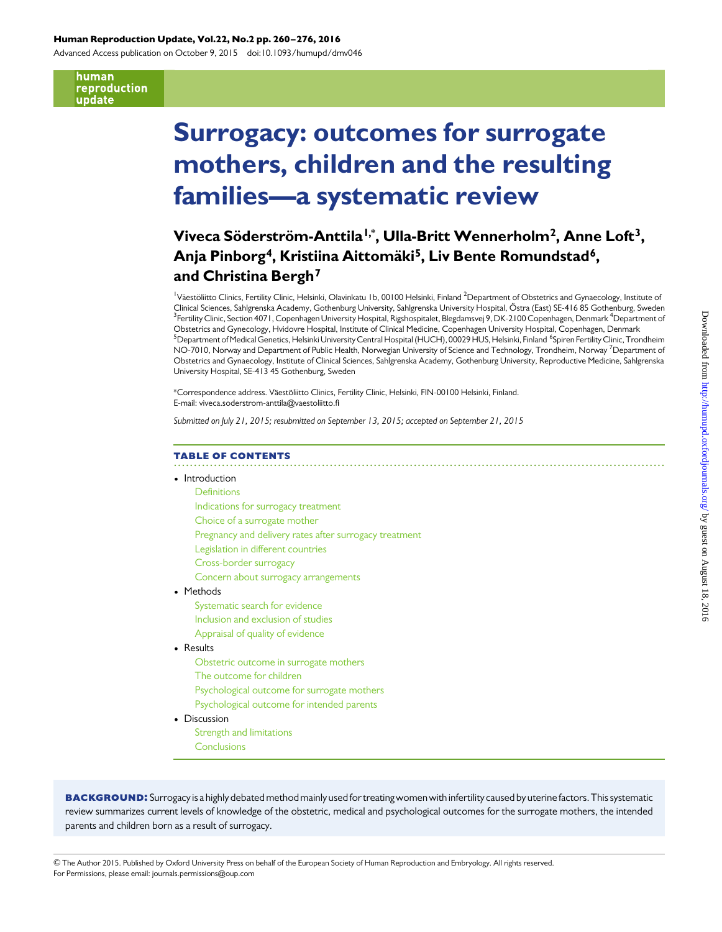#### Human Reproduction Update, Vol.22, No.2 pp. 260–276, 2016

Advanced Access publication on October 9, 2015 doi:10.1093/humupd/dmv046

#### human reproduction update

# Surrogacy: outcomes for surrogate mothers, children and the resulting families—a systematic review

# Viveca Söderström-Anttila $^{1, *}$ , Ulla-Britt Wennerholm $^{2}$ , Anne Loft $^{3},$ Anja Pinborg<sup>4</sup>, Kristiina Aittomäki<sup>5</sup>, Liv Bente Romundstad<sup>6</sup>, and Christina Bergh<sup>7</sup>

<sup>1</sup>Väestöliitto Clinics, Fertility Clinic, Helsinki, Olavinkatu 1b, 00100 Helsinki, Finland <sup>2</sup>Department of Obstetrics and Gynaecology, Institute of Clinical Sciences, Sahlgrenska Academy, Gothenburg University, Sahlgrenska University Hospital, Östra (East) SE-416 85 Gothenburg, Sweden Fertility Clinic, Section 4071, Copenhagen University Hospital, Rigshospitalet, Blegdamsvej 9, DK-2100 Copenhagen, Denmark <sup>4</sup>Department of Obstetrics and Gynecology, Hvidovre Hospital, Institute of Clinical Medicine, Copenhagen University Hospital, Copenhagen, Denmark <sup>5</sup>Department of Medical Genetics, Helsinki University Central Hospital (HUCH), 00029 HUS, Helsinki, Finland <sup>6</sup>Spiren Fertility Clinic, Trondheim NO-7010, Norway and Department of Public Health, Norwegian University of Science and Technology, Trondheim, Norway <sup>7</sup>Department of Obstetrics and Gynaecology, Institute of Clinical Sciences, Sahlgrenska Academy, Gothenburg University, Reproductive Medicine, Sahlgrenska University Hospital, SE-413 45 Gothenburg, Sweden

\*Correspondence address. Väestöliitto Clinics, Fertility Clinic, Helsinki, FIN-00100 Helsinki, Finland. E-mail: viveca.soderstrom-anttila@vaestoliitto.fi

Submitted on July 21, 2015; resubmitted on September 13, 2015; accepted on September 21, 2015

#### ........................................................................................................................... table of contents

#### • Introduction

- Definitions
- Indications for surrogacy treatment
- Choice of a surrogate mother
- Pregnancy and delivery rates after surrogacy treatment
- Legislation in different countries
- Cross-border surrogacy
- Concern about surrogacy arrangements
- Methods
	- Systematic search for evidence
	- Inclusion and exclusion of studies
	- Appraisal of quality of evidence

# • Results

- Obstetric outcome in surrogate mothers
- The outcome for children
- Psychological outcome for surrogate mothers
- Psychological outcome for intended parents
- Discussion
	- Strength and limitations
	- Conclusions

BACKGROUND: Surrogacy is a highly debated method mainly used for treating women with infertility caused by uterine factors. This systematic review summarizes current levels of knowledge of the obstetric, medical and psychological outcomes for the surrogate mothers, the intended parents and children born as a result of surrogacy.

& The Author 2015. Published by Oxford University Press on behalf of the European Society of Human Reproduction and Embryology. All rights reserved. For Permissions, please email: journals.permissions@oup.com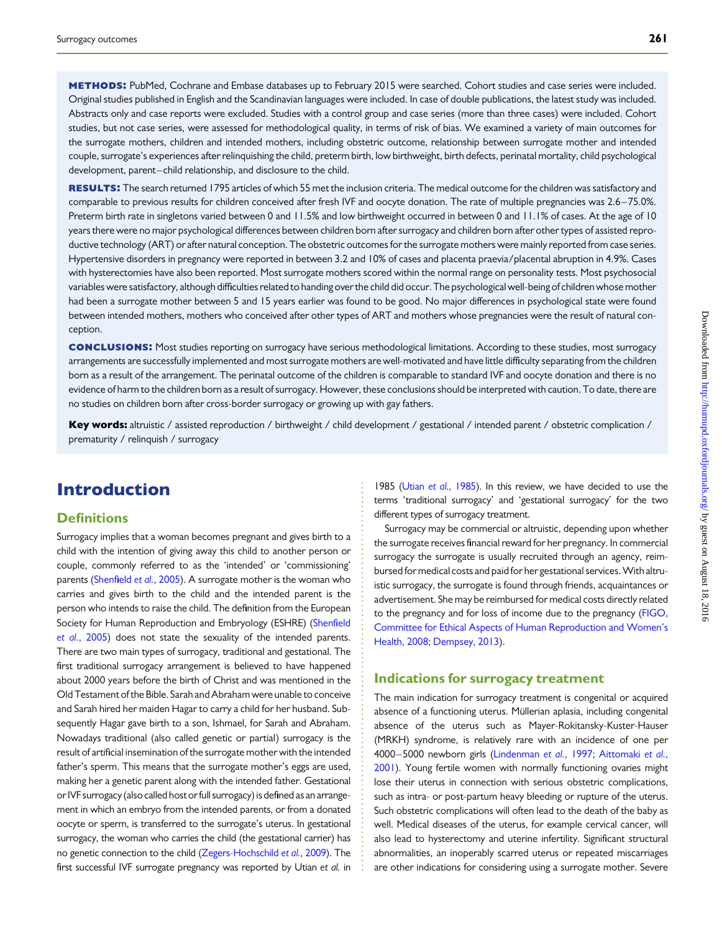METHODS: PubMed, Cochrane and Embase databases up to February 2015 were searched. Cohort studies and case series were included. Original studies published in English and the Scandinavian languages were included. In case of double publications, the latest study was included. Abstracts only and case reports were excluded. Studies with a control group and case series (more than three cases) were included. Cohort studies, but not case series, were assessed for methodological quality, in terms of risk of bias. We examined a variety of main outcomes for the surrogate mothers, children and intended mothers, including obstetric outcome, relationship between surrogate mother and intended couple, surrogate's experiences after relinquishing the child, preterm birth, low birthweight, birth defects, perinatal mortality, child psychological development, parent-child relationship, and disclosure to the child.

**RESULTS:** The search returned 1795 articles of which 55 met the inclusion criteria. The medical outcome for the children was satisfactory and comparable to previous results for children conceived after fresh IVF and oocyte donation. The rate of multiple pregnancies was 2.6–75.0%. Preterm birth rate in singletons varied between 0 and 11.5% and low birthweight occurred in between 0 and 11.1% of cases. At the age of 10 years there were no major psychological differences between children born after surrogacy and children born after other types of assisted reproductive technology (ART) or after natural conception. The obstetric outcomes for the surrogate mothers were mainly reported from case series. Hypertensive disorders in pregnancy were reported in between 3.2 and 10% of cases and placenta praevia/placental abruption in 4.9%. Cases with hysterectomies have also been reported. Most surrogate mothers scored within the normal range on personality tests. Most psychosocial variables were satisfactory, although difficulties related to handing over the child did occur. The psychological well-being of children whose mother had been a surrogate mother between 5 and 15 years earlier was found to be good. No major differences in psychological state were found between intended mothers, mothers who conceived after other types of ART and mothers whose pregnancies were the result of natural conception.

conclusions: Most studies reporting on surrogacy have serious methodological limitations. According to these studies, most surrogacy arrangements are successfully implemented and most surrogate mothers are well-motivated and have little difficulty separating from the children born as a result of the arrangement. The perinatal outcome of the children is comparable to standard IVF and oocyte donation and there is no evidence of harm to the children born as a result of surrogacy. However, these conclusions should be interpreted with caution. To date, there are no studies on children born after cross-border surrogacy or growing up with gay fathers.

Key words: altruistic / assisted reproduction / birthweight / child development / gestational / intended parent / obstetric complication / prematurity / relinquish / surrogacy

# Introduction

#### **Definitions**

Surrogacy implies that a woman becomes pregnant and gives birth to a child with the intention of giving away this child to another person or couple, commonly referred to as the 'intended' or 'commissioning' parents ([Shenfield](#page-16-0) et al., 2005). A surrogate mother is the woman who carries and gives birth to the child and the intended parent is the person who intends to raise the child. The definition from the European Society for Human Reproduction and Embryology (ESHRE) ([Shenfield](#page-16-0) et al.[, 2005](#page-16-0)) does not state the sexuality of the intended parents. There are two main types of surrogacy, traditional and gestational. The first traditional surrogacy arrangement is believed to have happened about 2000 years before the birth of Christ and was mentioned in the Old Testament of the Bible. Sarah and Abraham were unable to conceive and Sarah hired her maiden Hagar to carry a child for her husband. Subsequently Hagar gave birth to a son, Ishmael, for Sarah and Abraham. Nowadays traditional (also called genetic or partial) surrogacy is the result of artificial insemination of the surrogate mother with the intended father's sperm. This means that the surrogate mother's eggs are used, making her a genetic parent along with the intended father. Gestational or IVF surrogacy (also called host or full surrogacy) is defined as an arrangement in which an embryo from the intended parents, or from a donated oocyte or sperm, is transferred to the surrogate's uterus. In gestational surrogacy, the woman who carries the child (the gestational carrier) has no genetic connection to the child [\(Zegers-Hochschild](#page-16-0) et al., 2009). The first successful IVF surrogate pregnancy was reported by Utian et al. in

1985 (Utian et al.[, 1985\)](#page-16-0). In this review, we have decided to use the terms 'traditional surrogacy' and 'gestational surrogacy' for the two different types of surrogacy treatment.

Surrogacy may be commercial or altruistic, depending upon whether the surrogate receives financial reward for her pregnancy. In commercial surrogacy the surrogate is usually recruited through an agency, reimbursed for medical costs and paid for her gestational services. With altruistic surrogacy, the surrogate is found through friends, acquaintances or advertisement. She may be reimbursed for medical costs directly related to the pregnancy and for loss of income due to the pregnancy ([FIGO,](#page-15-0) [Committee for Ethical Aspects of Human Reproduction and Women's](#page-15-0) [Health, 2008](#page-15-0); [Dempsey, 2013\)](#page-15-0).

# Indications for surrogacy treatment

The main indication for surrogacy treatment is congenital or acquired absence of a functioning uterus. Müllerian aplasia, including congenital absence of the uterus such as Mayer-Rokitansky-Kuster-Hauser (MRKH) syndrome, is relatively rare with an incidence of one per 4000–5000 newborn girls ([Lindenman](#page-16-0) et al., 1997; [Aittomaki](#page-15-0) et al., [2001](#page-15-0)). Young fertile women with normally functioning ovaries might lose their uterus in connection with serious obstetric complications, such as intra- or post-partum heavy bleeding or rupture of the uterus. Such obstetric complications will often lead to the death of the baby as well. Medical diseases of the uterus, for example cervical cancer, will also lead to hysterectomy and uterine infertility. Significant structural abnormalities, an inoperably scarred uterus or repeated miscarriages are other indications for considering using a surrogate mother. Severe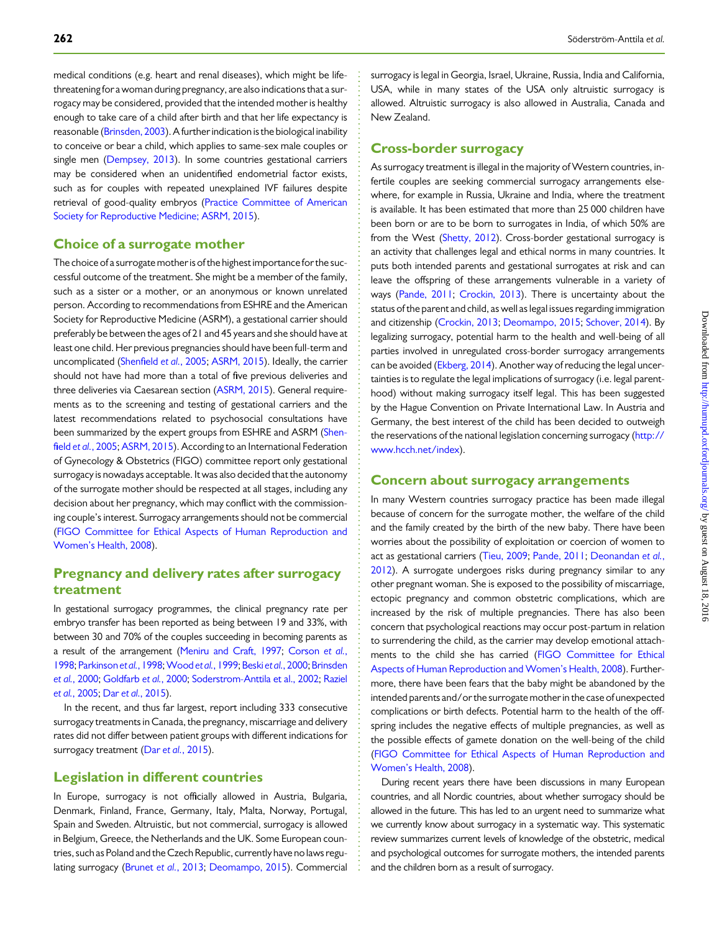medical conditions (e.g. heart and renal diseases), which might be lifethreatening for a woman during pregnancy, are also indications that a surrogacy may be considered, provided that the intended mother is healthy enough to take care of a child after birth and that her life expectancy is reasonable [\(Brinsden, 2003](#page-15-0)). A further indication is the biological inability to conceive or bear a child, which applies to same-sex male couples or single men ([Dempsey, 2013](#page-15-0)). In some countries gestational carriers may be considered when an unidentified endometrial factor exists, such as for couples with repeated unexplained IVF failures despite retrieval of good-quality embryos ([Practice Committee of American](#page-16-0) [Society for Reproductive Medicine; ASRM, 2015](#page-16-0)).

# Choice of a surrogate mother

The choice of a surrogate mother is of the highest importance for the successful outcome of the treatment. She might be a member of the family, such as a sister or a mother, or an anonymous or known unrelated person. According to recommendations from ESHRE and the American Society for Reproductive Medicine (ASRM), a gestational carrier should preferably be between the ages of 21 and 45 years and she should have at least one child. Her previous pregnancies should have been full-term and uncomplicated [\(Shenfield](#page-16-0) et al., 2005; [ASRM, 2015](#page-16-0)). Ideally, the carrier should not have had more than a total of five previous deliveries and three deliveries via Caesarean section ([ASRM, 2015\)](#page-16-0). General requirements as to the screening and testing of gestational carriers and the latest recommendations related to psychosocial consultations have been summarized by the expert groups from ESHRE and ASRM ([Shen](#page-16-0)field et al.[, 2005](#page-16-0); [ASRM, 2015](#page-16-0)). According to an International Federation of Gynecology & Obstetrics (FIGO) committee report only gestational surrogacy is nowadays acceptable. It was also decided that the autonomy of the surrogate mother should be respected at all stages, including any decision about her pregnancy, which may conflict with the commissioning couple's interest. Surrogacy arrangements should not be commercial [\(FIGO Committee for Ethical Aspects of Human Reproduction and](#page-15-0) [Women's Health, 2008\)](#page-15-0).

# Pregnancy and delivery rates after surrogacy treatment

In gestational surrogacy programmes, the clinical pregnancy rate per embryo transfer has been reported as being between 19 and 33%, with between 30 and 70% of the couples succeeding in becoming parents as a result of the arrangement ([Meniru and Craft, 1997;](#page-16-0) [Corson](#page-15-0) et al., [1998;](#page-15-0) [Parkinson](#page-16-0) et al., 1998; [Wood](#page-16-0) et al., 1999; Beski et al.[, 2000](#page-15-0); [Brinsden](#page-15-0) et al.[, 2000](#page-15-0); [Goldfarb](#page-15-0) et al., 2000; [Soderstrom-Anttila et al., 2002](#page-16-0); [Raziel](#page-16-0) et al.[, 2005](#page-16-0); Dar et al.[, 2015\)](#page-15-0).

In the recent, and thus far largest, report including 333 consecutive surrogacy treatments in Canada, the pregnancy, miscarriage and delivery rates did not differ between patient groups with different indications for surrogacy treatment (Dar et al.[, 2015\)](#page-15-0).

### Legislation in different countries

In Europe, surrogacy is not officially allowed in Austria, Bulgaria, Denmark, Finland, France, Germany, Italy, Malta, Norway, Portugal, Spain and Sweden. Altruistic, but not commercial, surrogacy is allowed in Belgium, Greece, the Netherlands and the UK. Some European countries, such as Poland and theCzech Republic, currently have no laws regulating surrogacy [\(Brunet](#page-15-0) et al., 2013; [Deomampo, 2015](#page-15-0)). Commercial surrogacy is legal in Georgia, Israel, Ukraine, Russia, India and California, USA, while in many states of the USA only altruistic surrogacy is allowed. Altruistic surrogacy is also allowed in Australia, Canada and New Zealand.

# Cross-border surrogacy

As surrogacy treatment is illegal in the majority of Western countries, infertile couples are seeking commercial surrogacy arrangements elsewhere, for example in Russia, Ukraine and India, where the treatment is available. It has been estimated that more than 25 000 children have been born or are to be born to surrogates in India, of which 50% are from the West [\(Shetty, 2012\)](#page-16-0). Cross-border gestational surrogacy is an activity that challenges legal and ethical norms in many countries. It puts both intended parents and gestational surrogates at risk and can leave the offspring of these arrangements vulnerable in a variety of ways ([Pande, 2011](#page-16-0); [Crockin, 2013](#page-15-0)). There is uncertainty about the status of the parent and child, as well as legal issues regarding immigration and citizenship ([Crockin, 2013;](#page-15-0) [Deomampo, 2015;](#page-15-0) [Schover, 2014\)](#page-16-0). By legalizing surrogacy, potential harm to the health and well-being of all parties involved in unregulated cross-border surrogacy arrangements can be avoided [\(Ekberg, 2014](#page-15-0)). Another way of reducing the legal uncertainties is to regulate the legal implications of surrogacy (i.e. legal parenthood) without making surrogacy itself legal. This has been suggested by the Hague Convention on Private International Law. In Austria and Germany, the best interest of the child has been decided to outweigh the reservations of the national legislation concerning surrogacy ([http://](http://www.hcch.net/index) [www.hcch.net/index\)](http://www.hcch.net/index).

## Concern about surrogacy arrangements

In many Western countries surrogacy practice has been made illegal because of concern for the surrogate mother, the welfare of the child and the family created by the birth of the new baby. There have been worries about the possibility of exploitation or coercion of women to act as gestational carriers [\(Tieu, 2009;](#page-16-0) [Pande, 2011;](#page-16-0) [Deonandan](#page-15-0) et al., [2012\)](#page-15-0). A surrogate undergoes risks during pregnancy similar to any other pregnant woman. She is exposed to the possibility of miscarriage, ectopic pregnancy and common obstetric complications, which are increased by the risk of multiple pregnancies. There has also been concern that psychological reactions may occur post-partum in relation to surrendering the child, as the carrier may develop emotional attachments to the child she has carried [\(FIGO Committee for Ethical](#page-15-0) [Aspects of Human Reproduction and Women's Health, 2008](#page-15-0)). Furthermore, there have been fears that the baby might be abandoned by the intended parents and/or the surrogate mother in the case of unexpected complications or birth defects. Potential harm to the health of the offspring includes the negative effects of multiple pregnancies, as well as the possible effects of gamete donation on the well-being of the child ([FIGO Committee for Ethical Aspects of Human Reproduction and](#page-15-0) [Women's Health, 2008\)](#page-15-0).

During recent years there have been discussions in many European countries, and all Nordic countries, about whether surrogacy should be allowed in the future. This has led to an urgent need to summarize what we currently know about surrogacy in a systematic way. This systematic review summarizes current levels of knowledge of the obstetric, medical and psychological outcomes for surrogate mothers, the intended parents and the children born as a result of surrogacy.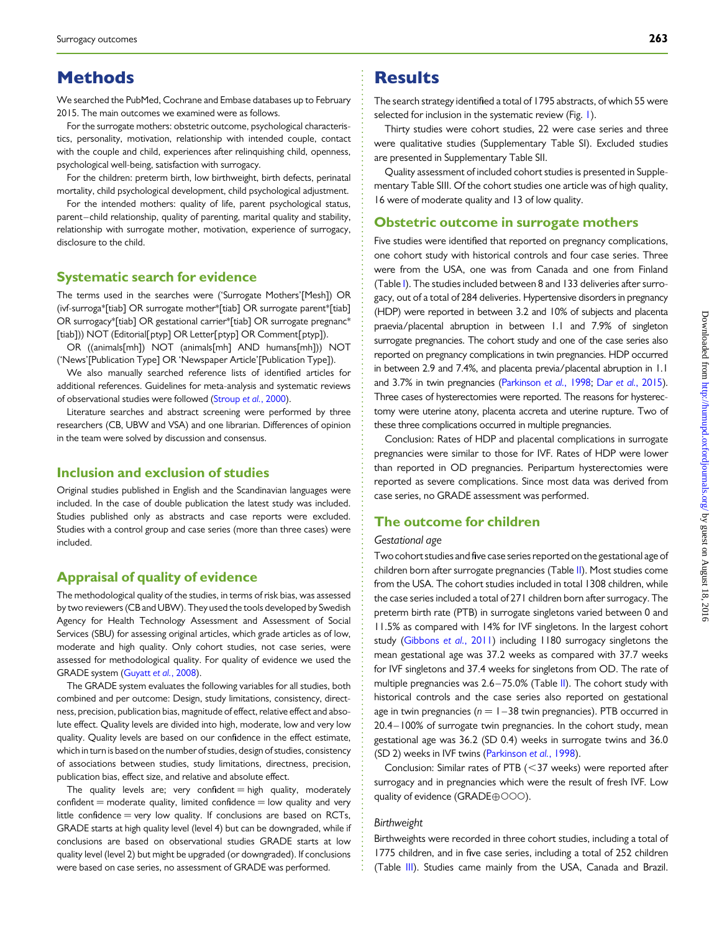# Methods

We searched the PubMed, Cochrane and Embase databases up to February 2015. The main outcomes we examined were as follows.

For the surrogate mothers: obstetric outcome, psychological characteristics, personality, motivation, relationship with intended couple, contact with the couple and child, experiences after relinquishing child, openness, psychological well-being, satisfaction with surrogacy.

For the children: preterm birth, low birthweight, birth defects, perinatal mortality, child psychological development, child psychological adjustment.

For the intended mothers: quality of life, parent psychological status, parent –child relationship, quality of parenting, marital quality and stability, relationship with surrogate mother, motivation, experience of surrogacy, disclosure to the child.

### Systematic search for evidence

The terms used in the searches were ('Surrogate Mothers'[Mesh]) OR (ivf-surroga\*[tiab] OR surrogate mother\*[tiab] OR surrogate parent\*[tiab] OR surrogacy\*[tiab] OR gestational carrier\*[tiab] OR surrogate pregnanc\* [tiab])) NOT (Editorial[ptyp] OR Letter[ptyp] OR Comment[ptyp]).

OR ((animals[mh]) NOT (animals[mh] AND humans[mh])) NOT ('News'[Publication Type] OR 'Newspaper Article'[Publication Type]).

We also manually searched reference lists of identified articles for additional references. Guidelines for meta-analysis and systematic reviews of observational studies were followed [\(Stroup](#page-16-0) et al., 2000).

Literature searches and abstract screening were performed by three researchers (CB, UBW and VSA) and one librarian. Differences of opinion in the team were solved by discussion and consensus.

### Inclusion and exclusion of studies

Original studies published in English and the Scandinavian languages were included. In the case of double publication the latest study was included. Studies published only as abstracts and case reports were excluded. Studies with a control group and case series (more than three cases) were included.

### Appraisal of quality of evidence

The methodological quality of the studies, in terms of risk bias, was assessed by two reviewers (CB and UBW). They used the tools developed by Swedish Agency for Health Technology Assessment and Assessment of Social Services (SBU) for assessing original articles, which grade articles as of low, moderate and high quality. Only cohort studies, not case series, were assessed for methodological quality. For quality of evidence we used the GRADE system [\(Guyatt](#page-15-0) et al., 2008).

The GRADE system evaluates the following variables for all studies, both combined and per outcome: Design, study limitations, consistency, directness, precision, publication bias, magnitude of effect, relative effect and absolute effect. Quality levels are divided into high, moderate, low and very low quality. Quality levels are based on our confidence in the effect estimate, which in turn is based on the number of studies, design of studies, consistency of associations between studies, study limitations, directness, precision, publication bias, effect size, and relative and absolute effect.

The quality levels are; very confident  $=$  high quality, moderately  $confident = moderate$  quality, limited confidence  $=$  low quality and very little confidence  $=$  very low quality. If conclusions are based on RCTs, GRADE starts at high quality level (level 4) but can be downgraded, while if conclusions are based on observational studies GRADE starts at low quality level (level 2) but might be upgraded (or downgraded). If conclusions were based on case series, no assessment of GRADE was performed.

# **Results**

The search strategy identified a total of 1795 abstracts, of which 55 were selected for inclusion in the systematic review (Fig. [1](#page-4-0)).

Thirty studies were cohort studies, 22 were case series and three were qualitative studies [\(Supplementary Table SI](http://humupd.oxfordjournals.org/lookup/suppl/doi:10.1093/humupd/dmv046/-/DC1)). Excluded studies are presented in [Supplementary Table SII](http://humupd.oxfordjournals.org/lookup/suppl/doi:10.1093/humupd/dmv046/-/DC1).

Quality assessment of included cohort studies is presented in [Supple](http://humupd.oxfordjournals.org/lookup/suppl/doi:10.1093/humupd/dmv046/-/DC1)[mentary Table SIII](http://humupd.oxfordjournals.org/lookup/suppl/doi:10.1093/humupd/dmv046/-/DC1). Of the cohort studies one article was of high quality, 16 were of moderate quality and 13 of low quality.

#### Obstetric outcome in surrogate mothers

Five studies were identified that reported on pregnancy complications, one cohort study with historical controls and four case series. Three were from the USA, one was from Canada and one from Finland (Table [I](#page-5-0)). The studies included between 8 and 133 deliveries after surrogacy, out of a total of 284 deliveries. Hypertensive disorders in pregnancy (HDP) were reported in between 3.2 and 10% of subjects and placenta praevia/placental abruption in between 1.1 and 7.9% of singleton surrogate pregnancies. The cohort study and one of the case series also reported on pregnancy complications in twin pregnancies. HDP occurred in between 2.9 and 7.4%, and placenta previa/placental abruption in 1.1 and 3.7% in twin pregnancies ([Parkinson](#page-16-0) et al., 1998; Dar et al.[, 2015](#page-15-0)). Three cases of hysterectomies were reported. The reasons for hysterectomy were uterine atony, placenta accreta and uterine rupture. Two of these three complications occurred in multiple pregnancies.

Conclusion: Rates of HDP and placental complications in surrogate pregnancies were similar to those for IVF. Rates of HDP were lower than reported in OD pregnancies. Peripartum hysterectomies were reported as severe complications. Since most data was derived from case series, no GRADE assessment was performed.

### The outcome for children

#### Gestational age

Two cohort studies and five case series reported on the gestational age of children born after surrogate pregnancies (Table [II](#page-6-0)). Most studies come from the USA. The cohort studies included in total 1308 children, while the case series included a total of 271 children born after surrogacy. The preterm birth rate (PTB) in surrogate singletons varied between 0 and 11.5% as compared with 14% for IVF singletons. In the largest cohort study ([Gibbons](#page-15-0) et al., 2011) including 1180 surrogacy singletons the mean gestational age was 37.2 weeks as compared with 37.7 weeks for IVF singletons and 37.4 weeks for singletons from OD. The rate of multiple pregnancies was 2.6–75.0% (Table [II\)](#page-6-0). The cohort study with historical controls and the case series also reported on gestational age in twin pregnancies ( $n = 1-38$  twin pregnancies). PTB occurred in 20.4 –100% of surrogate twin pregnancies. In the cohort study, mean gestational age was 36.2 (SD 0.4) weeks in surrogate twins and 36.0 (SD 2) weeks in IVF twins ([Parkinson](#page-16-0) et al., 1998).

Conclusion: Similar rates of PTB  $(<$ 37 weeks) were reported after surrogacy and in pregnancies which were the result of fresh IVF. Low quality of evidence (GRADE⊕OOO).

#### **Birthweight**

Birthweights were recorded in three cohort studies, including a total of 1775 children, and in five case series, including a total of 252 children (Table [III\)](#page-9-0). Studies came mainly from the USA, Canada and Brazil.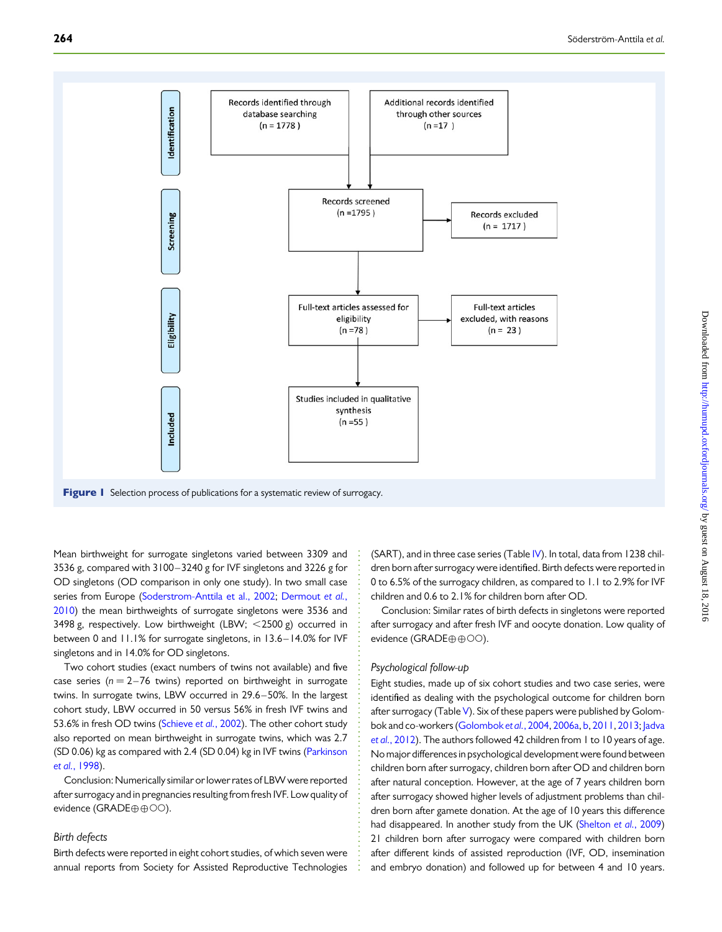<span id="page-4-0"></span>

Figure I Selection process of publications for a systematic review of surrogacy.

Mean birthweight for surrogate singletons varied between 3309 and 3536 g, compared with 3100– 3240 g for IVF singletons and 3226 g for OD singletons (OD comparison in only one study). In two small case series from Europe ([Soderstrom-Anttila et al., 2002](#page-16-0); [Dermout](#page-15-0) et al., [2010](#page-15-0)) the mean birthweights of surrogate singletons were 3536 and 3498 g, respectively. Low birthweight (LBW;  $<$ 2500 g) occurred in between 0 and 11.1% for surrogate singletons, in 13.6– 14.0% for IVF singletons and in 14.0% for OD singletons.

Two cohort studies (exact numbers of twins not available) and five case series ( $n = 2 - 76$  twins) reported on birthweight in surrogate twins. In surrogate twins, LBW occurred in 29.6–50%. In the largest cohort study, LBW occurred in 50 versus 56% in fresh IVF twins and 53.6% in fresh OD twins [\(Schieve](#page-16-0) et al., 2002). The other cohort study also reported on mean birthweight in surrogate twins, which was 2.7 (SD 0.06) kg as compared with 2.4 (SD 0.04) kg in IVF twins [\(Parkinson](#page-16-0) et al.[, 1998](#page-16-0)).

Conclusion: Numerically similar or lower rates of LBW were reported after surrogacy and in pregnancies resulting from fresh IVF. Low quality of evidence (GRADE⊕⊕OO).

#### Birth defects

Birth defects were reported in eight cohort studies, of which seven were annual reports from Society for Assisted Reproductive Technologies

(SART), and in three case series (Table [IV](#page-10-0)). In total, data from 1238 children born after surrogacy were identified. Birth defects were reported in 0 to 6.5% of the surrogacy children, as compared to 1.1 to 2.9% for IVF children and 0.6 to 2.1% for children born after OD.

Conclusion: Similar rates of birth defects in singletons were reported after surrogacy and after fresh IVF and oocyte donation. Low quality of evidence (GRADE⊕⊕OO).

#### Psychological follow-up

Eight studies, made up of six cohort studies and two case series, were identified as dealing with the psychological outcome for children born after surrogacy (Table [V\)](#page-11-0). Six of these papers were published by Golombok and co-workers ([Golombok](#page-15-0) et al., 2004, [2006a](#page-15-0), [b](#page-15-0), [2011,](#page-15-0) [2013](#page-15-0); [Jadva](#page-15-0) et al.[, 2012\)](#page-15-0). The authors followed 42 children from 1 to 10 years of age. No major differences in psychological development were found between children born after surrogacy, children born after OD and children born after natural conception. However, at the age of 7 years children born after surrogacy showed higher levels of adjustment problems than children born after gamete donation. At the age of 10 years this difference had disappeared. In another study from the UK ([Shelton](#page-16-0) et al., 2009) 21 children born after surrogacy were compared with children born after different kinds of assisted reproduction (IVF, OD, insemination and embryo donation) and followed up for between 4 and 10 years.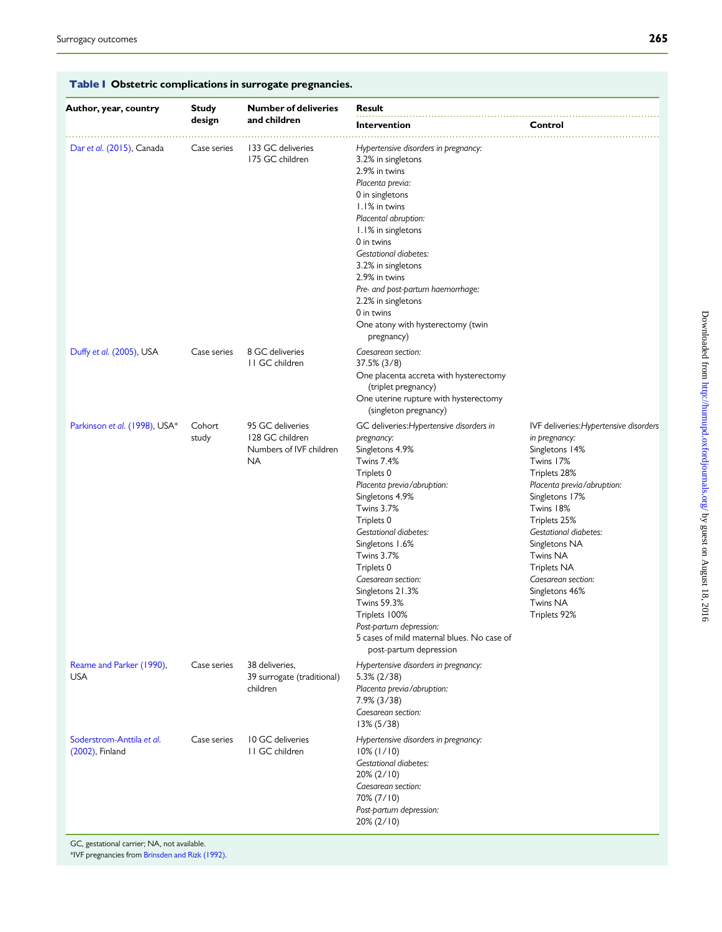<span id="page-5-0"></span>

| Table   Obstetric complications in surrogate pregnancies. |                 |                                                                             |                                                                                                                                                                                                                                                                                                                                                                                                                                                                     |                                                                                                                                                                                                                                                                                                                                                   |  |  |
|-----------------------------------------------------------|-----------------|-----------------------------------------------------------------------------|---------------------------------------------------------------------------------------------------------------------------------------------------------------------------------------------------------------------------------------------------------------------------------------------------------------------------------------------------------------------------------------------------------------------------------------------------------------------|---------------------------------------------------------------------------------------------------------------------------------------------------------------------------------------------------------------------------------------------------------------------------------------------------------------------------------------------------|--|--|
| Author, year, country                                     | <b>Study</b>    | <b>Number of deliveries</b>                                                 | Result                                                                                                                                                                                                                                                                                                                                                                                                                                                              |                                                                                                                                                                                                                                                                                                                                                   |  |  |
|                                                           | design          | and children                                                                | Intervention                                                                                                                                                                                                                                                                                                                                                                                                                                                        | Control                                                                                                                                                                                                                                                                                                                                           |  |  |
| Dar et al. (2015), Canada                                 | Case series     | 133 GC deliveries<br>175 GC children                                        | Hypertensive disorders in pregnancy:<br>3.2% in singletons<br>2.9% in twins<br>Placenta previa:<br>0 in singletons<br>1.1% in twins<br>Placental abruption:<br>1.1% in singletons<br>0 in twins<br><b>Gestational diabetes:</b><br>3.2% in singletons<br>2.9% in twins<br>Pre- and post-partum haemorrhage:<br>2.2% in singletons<br>0 in twins<br>One atony with hysterectomy (twin<br>pregnancy)                                                                  |                                                                                                                                                                                                                                                                                                                                                   |  |  |
| Duffy et al. (2005), USA                                  | Case series     | 8 GC deliveries<br>11 GC children                                           | Caesarean section:<br>$37.5\%$ (3/8)<br>One placenta accreta with hysterectomy<br>(triplet pregnancy)<br>One uterine rupture with hysterectomy<br>(singleton pregnancy)                                                                                                                                                                                                                                                                                             |                                                                                                                                                                                                                                                                                                                                                   |  |  |
| Parkinson et al. (1998), USA*                             | Cohort<br>study | 95 GC deliveries<br>128 GC children<br>Numbers of IVF children<br><b>NA</b> | GC deliveries: Hypertensive disorders in<br>pregnancy:<br>Singletons 4.9%<br><b>Twins 7.4%</b><br>Triplets 0<br>Placenta previa/abruption:<br>Singletons 4.9%<br>Twins 3.7%<br>Triplets 0<br><b>Gestational diabetes:</b><br>Singletons 1.6%<br><b>Twins 3.7%</b><br>Triplets 0<br>Caesarean section:<br>Singletons 21.3%<br><b>Twins 59.3%</b><br>Triplets 100%<br>Post-partum depression:<br>5 cases of mild maternal blues. No case of<br>post-partum depression | IVF deliveries: Hypertensive disorders<br>in pregnancy:<br>Singletons 14%<br>Twins 17%<br>Triplets 28%<br>Placenta previa/abruption:<br>Singletons 17%<br>Twins 18%<br>Triplets 25%<br><b>Gestational diabetes:</b><br>Singletons NA<br><b>Twins NA</b><br><b>Triplets NA</b><br>Caesarean section:<br>Singletons 46%<br>Twins NA<br>Triplets 92% |  |  |
| Reame and Parker (1990),<br><b>USA</b>                    | Case series     | 38 deliveries,<br>39 surrogate (traditional)<br>children                    | Hypertensive disorders in pregnancy:<br>$5.3\% (2/38)$<br>Placenta previa/abruption:<br>$7.9\% (3/38)$<br>Caesarean section:<br>$13\% (5/38)$                                                                                                                                                                                                                                                                                                                       |                                                                                                                                                                                                                                                                                                                                                   |  |  |
| Soderstrom-Anttila et al.<br>(2002), Finland              | Case series     | 10 GC deliveries<br>II GC children                                          | Hypertensive disorders in pregnancy:<br>$10\%$ ( $1/10$ )<br><b>Gestational diabetes:</b><br>$20\% (2/10)$<br>Caesarean section:<br>70% (7/10)<br>Post-partum depression:<br>$20\% (2/10)$                                                                                                                                                                                                                                                                          |                                                                                                                                                                                                                                                                                                                                                   |  |  |

Downloaded from http://humupd.oxfordjournals.org/ by guest on August 18, 2016  $Down$  loaded from <http://humupd.oxfordjournals.org/> by guest on August 18, 2016

GC, gestational carrier; NA, not available. \*IVF pregnancies from [Brinsden and Rizk \(1992\)](#page-15-0).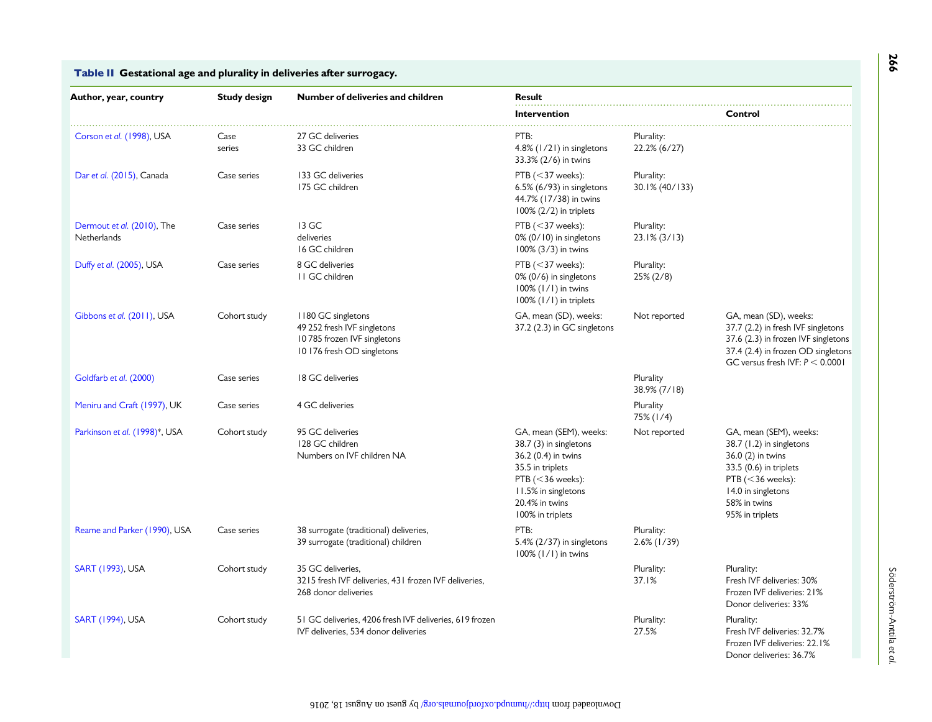| Author, year, country                            | <b>Study design</b> | Number of deliveries and children                                                                              | Result<br>.                                                                                                                                                                     |                               |                                                                                                                                                                                   |
|--------------------------------------------------|---------------------|----------------------------------------------------------------------------------------------------------------|---------------------------------------------------------------------------------------------------------------------------------------------------------------------------------|-------------------------------|-----------------------------------------------------------------------------------------------------------------------------------------------------------------------------------|
|                                                  |                     |                                                                                                                | Intervention                                                                                                                                                                    |                               | Control                                                                                                                                                                           |
| Corson et al. (1998), USA                        | Case<br>series      | 27 GC deliveries<br>33 GC children                                                                             | PTB:<br>4.8% (1/21) in singletons<br>33.3% (2/6) in twins                                                                                                                       | Plurality:<br>$22.2\% (6/27)$ |                                                                                                                                                                                   |
| Dar et al. (2015), Canada                        | Case series         | 133 GC deliveries<br>175 GC children                                                                           | PTB $(<$ 37 weeks):<br>$6.5\%$ (6/93) in singletons<br>44.7% (17/38) in twins<br>$100\%$ (2/2) in triplets                                                                      | Plurality:<br>30.1% (40/133)  |                                                                                                                                                                                   |
| Dermout et al. (2010), The<br><b>Netherlands</b> | Case series         | 13 GC<br>deliveries<br>16 GC children                                                                          | PTB $(<$ 37 weeks):<br>0% (0/10) in singletons<br>100% (3/3) in twins                                                                                                           | Plurality:<br>$23.1\% (3/13)$ |                                                                                                                                                                                   |
| Duffy et al. (2005), USA                         | Case series         | 8 GC deliveries<br>II GC children                                                                              | PTB $(<$ 37 weeks):<br>0% (0/6) in singletons<br>100% (1/1) in twins<br>$100\%$ ( $1/1$ ) in triplets                                                                           | Plurality:<br>$25\% (2/8)$    |                                                                                                                                                                                   |
| Gibbons et al. (2011), USA                       | Cohort study        | 1180 GC singletons<br>49 252 fresh IVF singletons<br>10785 frozen IVF singletons<br>10 176 fresh OD singletons | GA, mean (SD), weeks:<br>37.2 (2.3) in GC singletons                                                                                                                            | Not reported                  | GA, mean (SD), weeks:<br>37.7 (2.2) in fresh IVF singletons<br>37.6 (2.3) in frozen IVF singletons<br>37.4 (2.4) in frozen OD singletons<br>GC versus fresh IVF: $P < 0.0001$     |
| Goldfarb et al. (2000)                           | Case series         | 18 GC deliveries                                                                                               |                                                                                                                                                                                 | Plurality<br>38.9% (7/18)     |                                                                                                                                                                                   |
| Meniru and Craft (1997), UK                      | Case series         | 4 GC deliveries                                                                                                |                                                                                                                                                                                 | Plurality<br>75% (1/4)        |                                                                                                                                                                                   |
| Parkinson et al. (1998)*, USA                    | Cohort study        | 95 GC deliveries<br>128 GC children<br>Numbers on IVF children NA                                              | GA, mean (SEM), weeks:<br>38.7 (3) in singletons<br>36.2 (0.4) in twins<br>35.5 in triplets<br>PTB $(<$ 36 weeks):<br>11.5% in singletons<br>20.4% in twins<br>100% in triplets | Not reported                  | GA, mean (SEM), weeks:<br>38.7 (1.2) in singletons<br>36.0 (2) in twins<br>33.5 (0.6) in triplets<br>PTB $(<$ 36 weeks):<br>14.0 in singletons<br>58% in twins<br>95% in triplets |
| Reame and Parker (1990), USA                     | Case series         | 38 surrogate (traditional) deliveries,<br>39 surrogate (traditional) children                                  | PTB:<br>5.4% (2/37) in singletons<br>100% (1/1) in twins                                                                                                                        | Plurality:<br>$2.6\%$ (1/39)  |                                                                                                                                                                                   |
| <b>SART (1993), USA</b>                          | Cohort study        | 35 GC deliveries.<br>3215 fresh IVF deliveries, 431 frozen IVF deliveries,<br>268 donor deliveries             |                                                                                                                                                                                 | Plurality:<br>37.1%           | Plurality:<br>Fresh IVF deliveries: 30%<br>Frozen IVF deliveries: 21%<br>Donor deliveries: 33%                                                                                    |
| <b>SART (1994), USA</b>                          | Cohort study        | 51 GC deliveries, 4206 fresh IVF deliveries, 619 frozen<br>IVF deliveries, 534 donor deliveries                |                                                                                                                                                                                 | Plurality:<br>27.5%           | Plurality:<br>Fresh IVF deliveries: 32.7%                                                                                                                                         |

#### <span id="page-6-0"></span>Table II Gestational age and plurality in deliveries after surrogacy.

Frozen IVF deliveries: 22.1% Donor deliveries: 36.7%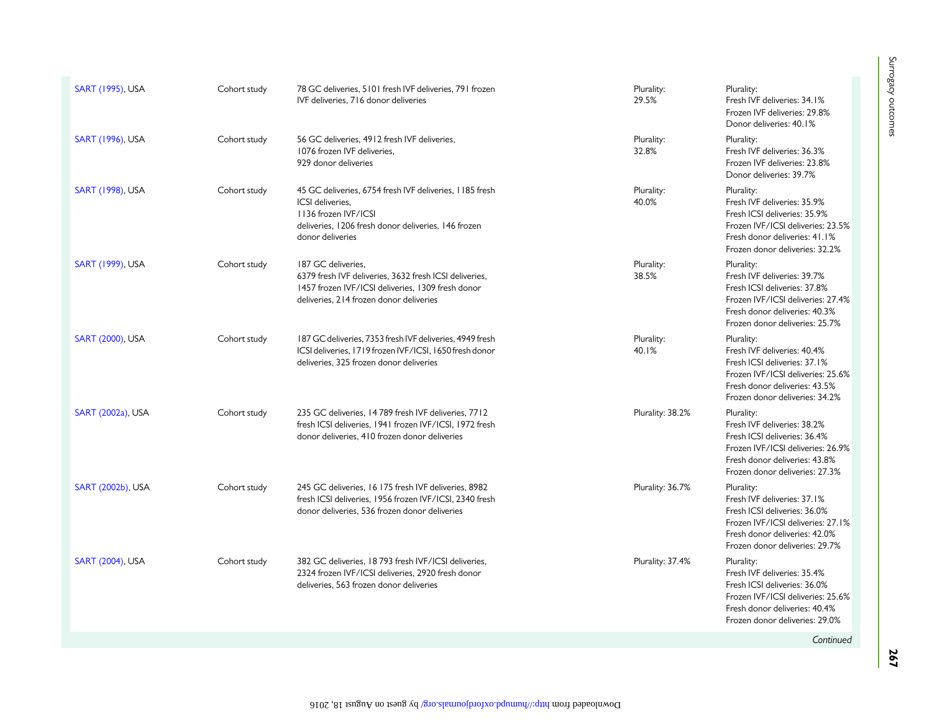| SART (1995), USA         | Cohort study | 78 GC deliveries, 5101 fresh IVF deliveries, 791 frozen<br>IVF deliveries, 716 donor deliveries                                                                                | Plurality:<br>29.5% | Plurality:<br>Fresh IVF deliveries: 34.1%<br>Frozen IVF deliveries: 29.8%<br>Donor deliveries: 40.1%                                                                              |
|--------------------------|--------------|--------------------------------------------------------------------------------------------------------------------------------------------------------------------------------|---------------------|-----------------------------------------------------------------------------------------------------------------------------------------------------------------------------------|
| <b>SART (1996), USA</b>  | Cohort study | 56 GC deliveries, 4912 fresh IVF deliveries,<br>1076 frozen IVF deliveries.<br>929 donor deliveries                                                                            | Plurality:<br>32.8% | Plurality:<br>Fresh IVF deliveries: 36.3%<br>Frozen IVF deliveries: 23.8%<br>Donor deliveries: 39.7%                                                                              |
| <b>SART (1998), USA</b>  | Cohort study | 45 GC deliveries, 6754 fresh IVF deliveries, 1185 fresh<br>ICSI deliveries,<br>1136 frozen IVF/ICSI<br>deliveries, 1206 fresh donor deliveries, 146 frozen<br>donor deliveries | Plurality:<br>40.0% | Plurality:<br>Fresh IVF deliveries: 35.9%<br>Fresh ICSI deliveries: 35.9%<br>Frozen IVF/ICSI deliveries: 23.5%<br>Fresh donor deliveries: 41.1%<br>Frozen donor deliveries: 32.2% |
| <b>SART (1999), USA</b>  | Cohort study | 187 GC deliveries.<br>6379 fresh IVF deliveries, 3632 fresh ICSI deliveries,<br>1457 frozen IVF/ICSI deliveries. 1309 fresh donor<br>deliveries, 214 frozen donor deliveries   | Plurality:<br>38.5% | Plurality:<br>Fresh IVF deliveries: 39.7%<br>Fresh ICSI deliveries: 37.8%<br>Frozen IVF/ICSI deliveries: 27.4%<br>Fresh donor deliveries: 40.3%<br>Frozen donor deliveries: 25.7% |
| <b>SART (2000), USA</b>  | Cohort study | 187 GC deliveries, 7353 fresh IVF deliveries, 4949 fresh<br>ICSI deliveries, 1719 frozen IVF/ICSI, 1650 fresh donor<br>deliveries, 325 frozen donor deliveries                 | Plurality:<br>40.1% | Plurality:<br>Fresh IVF deliveries: 40.4%<br>Fresh ICSI deliveries: 37.1%<br>Frozen IVF/ICSI deliveries: 25.6%<br>Fresh donor deliveries: 43.5%<br>Frozen donor deliveries: 34.2% |
| <b>SART (2002a), USA</b> | Cohort study | 235 GC deliveries, 14 789 fresh IVF deliveries, 7712<br>fresh ICSI deliveries, 1941 frozen IVF/ICSI, 1972 fresh<br>donor deliveries, 410 frozen donor deliveries               | Plurality: 38.2%    | Plurality:<br>Fresh IVF deliveries: 38.2%<br>Fresh ICSI deliveries: 36.4%<br>Frozen IVF/ICSI deliveries: 26.9%<br>Fresh donor deliveries: 43.8%<br>Frozen donor deliveries: 27.3% |
| SART (2002b), USA        | Cohort study | 245 GC deliveries. 16 175 fresh IVF deliveries. 8982<br>fresh ICSI deliveries, 1956 frozen IVF/ICSI, 2340 fresh<br>donor deliveries, 536 frozen donor deliveries               | Plurality: 36.7%    | Plurality:<br>Fresh IVF deliveries: 37.1%<br>Fresh ICSI deliveries: 36.0%<br>Frozen IVF/ICSI deliveries: 27.1%<br>Fresh donor deliveries: 42.0%<br>Frozen donor deliveries: 29.7% |
| <b>SART (2004), USA</b>  | Cohort study | 382 GC deliveries, 18 793 fresh IVF/ICSI deliveries,<br>2324 frozen IVF/ICSI deliveries, 2920 fresh donor<br>deliveries. 563 frozen donor deliveries                           | Plurality: 37.4%    | Plurality:<br>Fresh IVF deliveries: 35.4%<br>Fresh ICSI deliveries: 36.0%<br>Frozen IVF/ICSI deliveries: 25.6%<br>Fresh donor deliveries: 40.4%<br>Frozen donor deliveries: 29.0% |
|                          |              |                                                                                                                                                                                |                     | Continued                                                                                                                                                                         |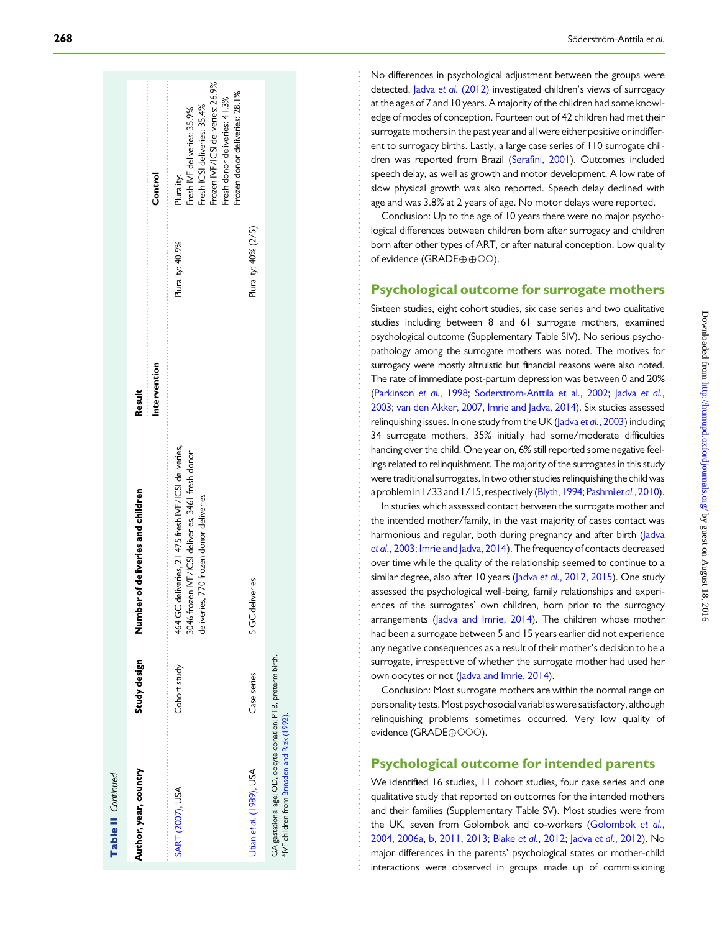| Table II Continued                                                                                           |              |                                                                                                                                                      |                         |                      |                                                                                                                                                                                   |
|--------------------------------------------------------------------------------------------------------------|--------------|------------------------------------------------------------------------------------------------------------------------------------------------------|-------------------------|----------------------|-----------------------------------------------------------------------------------------------------------------------------------------------------------------------------------|
| Author, year, country                                                                                        | Study design | of deliveries and children<br>Number                                                                                                                 | Result                  |                      |                                                                                                                                                                                   |
|                                                                                                              |              |                                                                                                                                                      | Intervention<br>::::::: |                      | Control                                                                                                                                                                           |
| SART (2007), USA                                                                                             | Cohort study | 464 GC deliveries, 21 475 fresh IVF/ICSI deliveries,<br>3046 frozen IVF/ICSI deliveries, 3461 fresh donor<br>deliveries, 770 frozen donor deliveries |                         | Plurality: 40.9%     | Frozen IVF/ICSI deliveries: 26.9%<br>Frozen donor deliveries: 28.1%<br>Fresh donor deliveries: 41.3%<br>Fresh ICSI deliveries: 35.4%<br>Fresh IVF deliveries: 35.9%<br>Plurality: |
| Utian et al. (1989), USA                                                                                     | Case series  | reices<br>5 GC deliv                                                                                                                                 |                         | Plurality: 40% (2/5) |                                                                                                                                                                                   |
| GA gestational age; OD, oocyte donation; PTB, preterm birth.<br>*IVF children from Brinsden and Rizk (1992). |              |                                                                                                                                                      |                         |                      |                                                                                                                                                                                   |

**268** Söderström-Anttila et al.

No differences in psychological adjustment between the groups were detected. Jadva et al. [\(2012\)](#page-15-0) investigated children's views of surrogacy at the ages of 7 and 10 years. A majority of the children had some knowledge of modes of conception. Fourteen out of 42 children had met their surrogate mothers in the past year and all were either positive or indifferent to surrogacy births. Lastly, a large case series of 110 surrogate children was reported from Brazil [\(Serafini, 2001\)](#page-16-0). Outcomes included speech delay, as well as growth and motor development. A low rate of slow physical growth was also reported. Speech delay declined with age and was 3.8% at 2 years of age. No motor delays were reported.

Conclusion: Up to the age of 10 years there were no major psychological differences between children born after surrogacy and children born after other types of ART, or after natural conception. Low quality of evidence (GRADE⊕⊕OO).

# Psychological outcome for surrogate mothers

Sixteen studies, eight cohort studies, six case series and two qualitative studies including between 8 and 61 surrogate mothers, examined psychological outcome ([Supplementary Table SIV\)](http://humupd.oxfordjournals.org/lookup/suppl/doi:10.1093/humupd/dmv046/-/DC1). No serious psychopathology among the surrogate mothers was noted. The motives for surrogacy were mostly altruistic but financial reasons were also noted. The rate of immediate post-partum depression was between 0 and 20% [\(Parkinson](#page-16-0) et al., 1998; [Soderstrom-Anttila et al., 2002;](#page-16-0) Jadva [et al.](#page-15-0), [2003](#page-15-0) ; [van den Akker, 2007](#page-16-0) , [Imrie and Jadva, 2014\)](#page-15-0). Six studies assessed relinquishing issues. In one study from the UK (Jadva et al.[, 2003\)](#page-15-0) including 34 surrogate mothers, 35% initially had some/moderate difficulties handing over the child. One year on, 6% still reported some negative feelings related to relinquishment. The majority of the surrogates in this study were traditional surrogates.In two other studies relinquishing the child was a problem in 1/33 and 1/15, respectively [\(Blyth, 1994](#page-15-0); [Pashmi](#page-16-0) et al., 2010).

In studies which assessed contact between the surrogate mother and the intended mother/family, in the vast majority of cases contact was harmonious and regular, both during pregnancy and after birth ([Jadva](#page-15-0) et al.[, 2003](#page-15-0); [Imrie and Jadva, 2014\)](#page-15-0). The frequency of contacts decreased over time while the quality of the relationship seemed to continue to a similar degree, also after 10 years (Jadva et al.[, 2012](#page-15-0), [2015\)](#page-15-0). One study assessed the psychological well-being, family relationships and experiences of the surrogates' own children, born prior to the surrogacy arrangements ([Jadva and Imrie, 2014](#page-15-0)). The children whose mother had been a surrogate between 5 and 15 years earlier did not experience any negative consequences as a result of their mother's decision to be a surrogate, irrespective of whether the surrogate mother had used her own oocytes or not ([Jadva and Imrie, 2014\)](#page-15-0).

Conclusion: Most surrogate mothers are within the normal range on personality tests. Most psychosocial variables were satisfactory, although relinquishing problems sometimes occurred. Very low quality of evidence (GRADE⊕OOO).

# Psychological outcome for intended parents

We identified 16 studies, 11 cohort studies, four case series and one qualitative study that reported on outcomes for the intended mothers and their families ([Supplementary Table SV\)](http://humupd.oxfordjournals.org/lookup/suppl/doi:10.1093/humupd/dmv046/-/DC1). Most studies were from the UK, seven from [Golombok](#page-15-0) and co-workers (Golombok et al., [2004](#page-15-0), [2006a](#page-15-0), [b](#page-15-0), [2011](#page-15-0), [2013](#page-15-0); Blake et al.[, 2012](#page-15-0); Jadva et al.[, 2012\)](#page-15-0). No major differences in the parents' psychological states or mother-child interactions were observed in groups made up of commissioning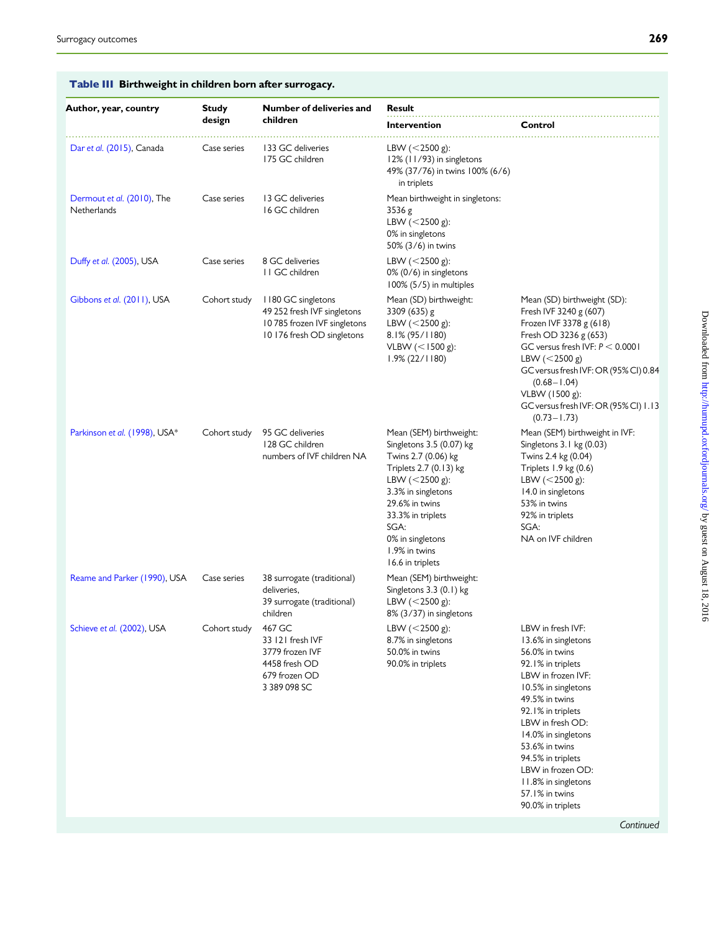# <span id="page-9-0"></span>Table III Birthweight in children born after surrogacy.

| Author, year, country                     | Study        | Number of deliveries and                                                                                      | Result                                                                                                                                                                                                                                                  |                                                                                                                                                                                                                                                                                                                                          |
|-------------------------------------------|--------------|---------------------------------------------------------------------------------------------------------------|---------------------------------------------------------------------------------------------------------------------------------------------------------------------------------------------------------------------------------------------------------|------------------------------------------------------------------------------------------------------------------------------------------------------------------------------------------------------------------------------------------------------------------------------------------------------------------------------------------|
|                                           | design       | children                                                                                                      | Intervention                                                                                                                                                                                                                                            | Control                                                                                                                                                                                                                                                                                                                                  |
| Dar et al. (2015), Canada                 | Case series  | 133 GC deliveries<br>175 GC children                                                                          | LBW $(<$ 2500 g):<br>12% (11/93) in singletons<br>49% (37/76) in twins 100% (6/6)<br>in triplets                                                                                                                                                        |                                                                                                                                                                                                                                                                                                                                          |
| Dermout et al. (2010), The<br>Netherlands | Case series  | 13 GC deliveries<br>16 GC children                                                                            | Mean birthweight in singletons:<br>3536 g<br>LBW $(<$ 2500 g):<br>0% in singletons<br>50% (3/6) in twins                                                                                                                                                |                                                                                                                                                                                                                                                                                                                                          |
| Duffy et al. (2005), USA                  | Case series  | 8 GC deliveries<br>II GC children                                                                             | LBW $(<$ 2500 g):<br>0% (0/6) in singletons<br>100% (5/5) in multiples                                                                                                                                                                                  |                                                                                                                                                                                                                                                                                                                                          |
| Gibbons et al. (2011), USA                | Cohort study | 1180 GC singletons<br>49 252 fresh IVF singletons<br>10785 frozen IVF singletons<br>10176 fresh OD singletons | Mean (SD) birthweight:<br>3309 (635) g<br>LBW $(<$ 2500 g):<br>$8.1\%$ (95/1180)<br>VLBW $(<$ 1500 g):<br>$1.9\% (22/1180)$                                                                                                                             | Mean (SD) birthweight (SD):<br>Fresh IVF 3240 g (607)<br>Frozen IVF 3378 g (618)<br>Fresh OD 3236 g (653)<br>GC versus fresh IVF: $P < 0.0001$<br>LBW $(< 2500 g)$<br>GC versus fresh IVF: OR (95% CI) 0.84<br>$(0.68 - 1.04)$<br>VLBW (1500 g):<br>GC versus fresh IVF: OR (95% CI) 1.13<br>$(0.73 - 1.73)$                             |
| Parkinson et al. (1998), USA*             | Cohort study | 95 GC deliveries<br>128 GC children<br>numbers of IVF children NA                                             | Mean (SEM) birthweight:<br>Singletons 3.5 (0.07) kg<br>Twins 2.7 (0.06) kg<br>Triplets 2.7 (0.13) kg<br>LBW $(<$ 2500 g):<br>3.3% in singletons<br>29.6% in twins<br>33.3% in triplets<br>SGA:<br>0% in singletons<br>1.9% in twins<br>16.6 in triplets | Mean (SEM) birthweight in IVF:<br>Singletons 3.1 kg (0.03)<br>Twins 2.4 kg (0.04)<br>Triplets 1.9 kg (0.6)<br>LBW $(<$ 2500 g):<br>14.0 in singletons<br>53% in twins<br>92% in triplets<br>SGA:<br>NA on IVF children                                                                                                                   |
| Reame and Parker (1990), USA              | Case series  | 38 surrogate (traditional)<br>deliveries,<br>39 surrogate (traditional)<br>children                           | Mean (SEM) birthweight:<br>Singletons 3.3 (0.1) kg<br>LBW $(<$ 2500 g):<br>8% (3/37) in singletons                                                                                                                                                      |                                                                                                                                                                                                                                                                                                                                          |
| Schieve et al. (2002), USA                | Cohort study | 467 GC<br>33 121 fresh IVF<br>3779 frozen IVF<br>4458 fresh OD<br>679 frozen OD<br>3 389 098 SC               | LBW $(<$ 2500 g):<br>8.7% in singletons<br>50.0% in twins<br>90.0% in triplets                                                                                                                                                                          | LBW in fresh IVF:<br>13.6% in singletons<br>56.0% in twins<br>92.1% in triplets<br>LBW in frozen IVF:<br>10.5% in singletons<br>49.5% in twins<br>92.1% in triplets<br>LBW in fresh OD:<br>14.0% in singletons<br>53.6% in twins<br>94.5% in triplets<br>LBW in frozen OD:<br>11.8% in singletons<br>57.1% in twins<br>90.0% in triplets |

Continued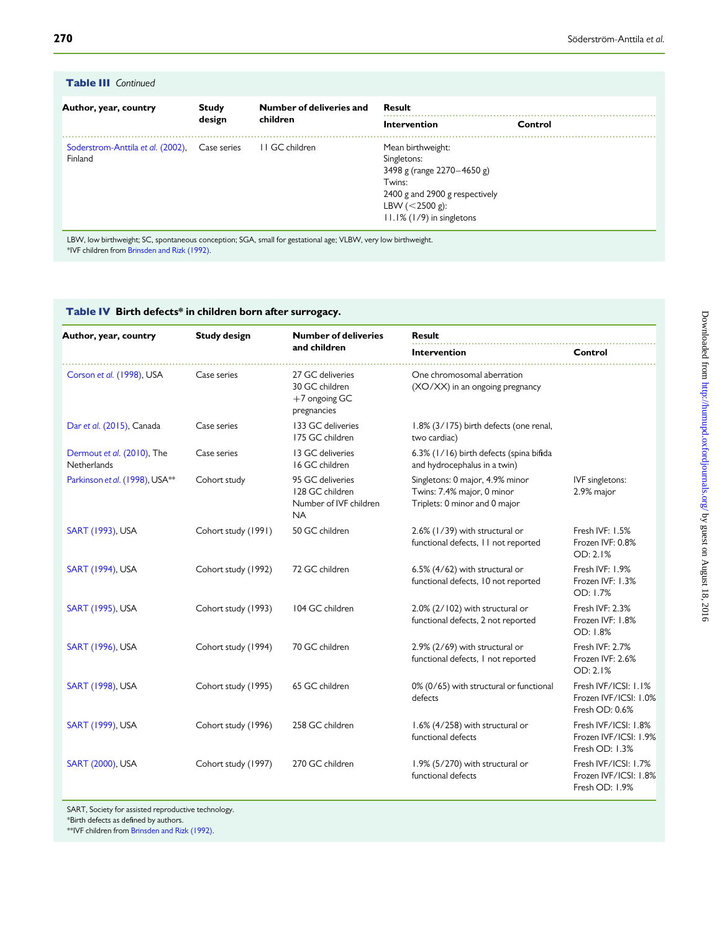#### <span id="page-10-0"></span>Table III Continued

| Author, year, country                                    | <b>Study</b><br>design | Number of deliveries and<br>children | Result<br><b>Intervention</b>                                                                                                                                      | Control |
|----------------------------------------------------------|------------------------|--------------------------------------|--------------------------------------------------------------------------------------------------------------------------------------------------------------------|---------|
| Soderstrom-Anttila et al. (2002), Case series<br>Finland |                        | I I GC children                      | Mean birthweight:<br>Singletons:<br>3498 g (range 2270-4650 g)<br>Twins:<br>2400 g and 2900 g respectively<br>LBW $(<2500 g):$<br>$11.1\%$ ( $1/9$ ) in singletons |         |

LBW, low birthweight; SC, spontaneous conception; SGA, small for gestational age; VLBW, very low birthweight. \*IVF children from [Brinsden and Rizk \(1992\).](#page-15-0)

### Table IV Birth defects\* in children born after surrogacy.

| Author, year, country                     | <b>Study design</b> | <b>Number of deliveries</b>                                                | Result                                                                                         |                                                                 |  |
|-------------------------------------------|---------------------|----------------------------------------------------------------------------|------------------------------------------------------------------------------------------------|-----------------------------------------------------------------|--|
|                                           |                     | and children                                                               | Intervention                                                                                   | Control                                                         |  |
| Corson et al. (1998), USA                 | Case series         | 27 GC deliveries<br>30 GC children<br>$+7$ ongoing GC<br>pregnancies       | One chromosomal aberration<br>(XO/XX) in an ongoing pregnancy                                  |                                                                 |  |
| Dar et al. (2015), Canada                 | Case series         | 133 GC deliveries<br>175 GC children                                       | 1.8% (3/175) birth defects (one renal,<br>two cardiac)                                         |                                                                 |  |
| Dermout et al. (2010), The<br>Netherlands | Case series         | 13 GC deliveries<br>16 GC children                                         | 6.3% (1/16) birth defects (spina bifida<br>and hydrocephalus in a twin)                        |                                                                 |  |
| Parkinson et al. (1998), USA**            | Cohort study        | 95 GC deliveries<br>128 GC children<br>Number of IVF children<br><b>NA</b> | Singletons: 0 major, 4.9% minor<br>Twins: 7.4% major, 0 minor<br>Triplets: 0 minor and 0 major | IVF singletons:<br>2.9% major                                   |  |
| <b>SART (1993), USA</b>                   | Cohort study (1991) | 50 GC children                                                             | 2.6% (1/39) with structural or<br>functional defects, 11 not reported                          | Fresh IVF: 1.5%<br>Frozen IVF: 0.8%<br>OD: 2.1%                 |  |
| <b>SART (1994), USA</b>                   | Cohort study (1992) | 72 GC children                                                             | 6.5% (4/62) with structural or<br>functional defects, 10 not reported                          | Fresh IVF: 1.9%<br>Frozen IVF: 1.3%<br>OD: 1.7%                 |  |
| <b>SART (1995), USA</b>                   | Cohort study (1993) | 104 GC children                                                            | 2.0% (2/102) with structural or<br>functional defects, 2 not reported                          | Fresh IVF: 2.3%<br>Frozen IVF: 1.8%<br>OD: 1.8%                 |  |
| <b>SART (1996), USA</b>                   | Cohort study (1994) | 70 GC children                                                             | 2.9% (2/69) with structural or<br>functional defects, I not reported                           | Fresh IVF: 2.7%<br>Frozen IVF: 2.6%<br>OD: 2.1%                 |  |
| <b>SART (1998), USA</b>                   | Cohort study (1995) | 65 GC children                                                             | 0% (0/65) with structural or functional<br>defects                                             | Fresh IVF/ICSI: 1.1%<br>Frozen IVF/ICSI: 1.0%<br>Fresh OD: 0.6% |  |
| <b>SART (1999), USA</b>                   | Cohort study (1996) | 258 GC children                                                            | 1.6% (4/258) with structural or<br>functional defects                                          | Fresh IVF/ICSI: 1.8%<br>Frozen IVF/ICSI: 1.9%<br>Fresh OD: 1.3% |  |
| <b>SART (2000), USA</b>                   | Cohort study (1997) | 270 GC children                                                            | 1.9% (5/270) with structural or<br>functional defects                                          | Fresh IVF/ICSI: 1.7%<br>Frozen IVF/ICSI: 1.8%<br>Fresh OD: 1.9% |  |

SART, Society for assisted reproductive technology.

\*Birth defects as defined by authors.

\*\*IVF children from [Brinsden and Rizk \(1992\)](#page-15-0).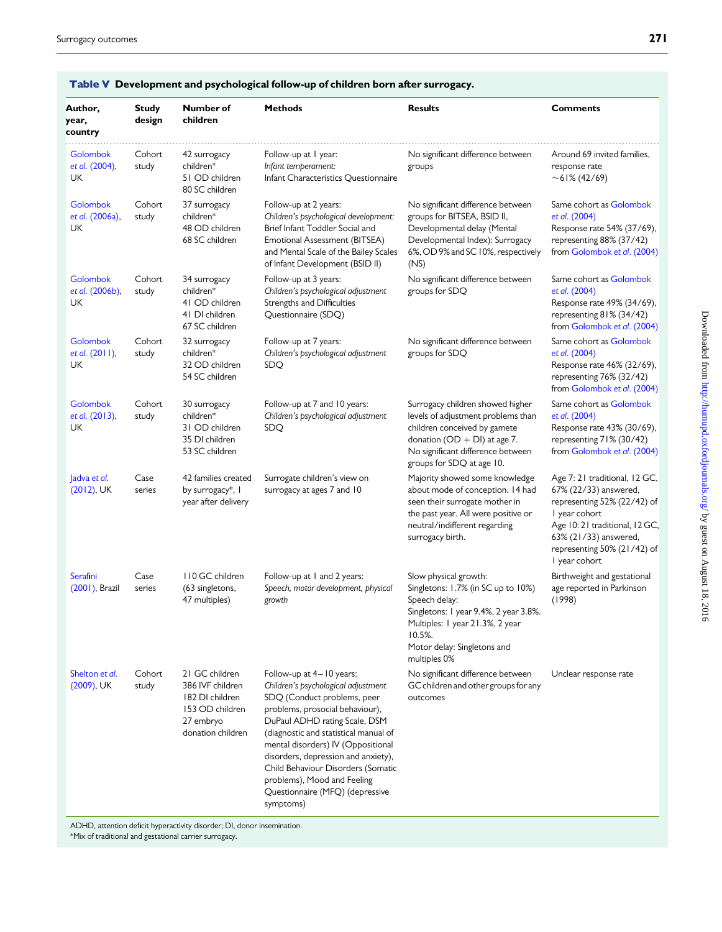| Author,<br>year,<br>country              | Study<br>design | Number of<br>children                                                                                      | <b>Methods</b>                                                                                                                                                                                                                                                                                                                                                                                                  | <b>Results</b>                                                                                                                                                                                                       | <b>Comments</b>                                                                                                                                                                                                  |
|------------------------------------------|-----------------|------------------------------------------------------------------------------------------------------------|-----------------------------------------------------------------------------------------------------------------------------------------------------------------------------------------------------------------------------------------------------------------------------------------------------------------------------------------------------------------------------------------------------------------|----------------------------------------------------------------------------------------------------------------------------------------------------------------------------------------------------------------------|------------------------------------------------------------------------------------------------------------------------------------------------------------------------------------------------------------------|
| Golombok<br>et al. (2004),<br>UK         | Cohort<br>study | 42 surrogacy<br>children*<br>51 OD children<br>80 SC children                                              | Follow-up at I year:<br>Infant temperament:<br>Infant Characteristics Questionnaire                                                                                                                                                                                                                                                                                                                             | No significant difference between<br>groups                                                                                                                                                                          | Around 69 invited families,<br>response rate<br>$~1\%$ (42/69)                                                                                                                                                   |
| Golombok<br>et al. (2006a),<br>UK        | Cohort<br>study | 37 surrogacy<br>children*<br>48 OD children<br>68 SC children                                              | Follow-up at 2 years:<br>Children's psychological development:<br>Brief Infant Toddler Social and<br>Emotional Assessment (BITSEA)<br>and Mental Scale of the Bailey Scales<br>of Infant Development (BSID II)                                                                                                                                                                                                  | No significant difference between<br>groups for BITSEA, BSID II,<br>Developmental delay (Mental<br>Developmental Index): Surrogacy<br>6%, OD 9% and SC 10%, respectively<br>(NS)                                     | Same cohort as Golombok<br>et al. (2004)<br>Response rate 54% (37/69),<br>representing 88% (37/42)<br>from Golombok et al. (2004)                                                                                |
| <b>Golombok</b><br>et al. (2006b),<br>UK | Cohort<br>study | 34 surrogacy<br>children*<br>41 OD children<br>41 DI children<br>67 SC children                            | Follow-up at 3 years:<br>Children's psychological adjustment<br>Strengths and Difficulties<br>Questionnaire (SDQ)                                                                                                                                                                                                                                                                                               | No significant difference between<br>groups for SDQ                                                                                                                                                                  | Same cohort as Golombok<br>et al. (2004)<br>Response rate 49% (34/69),<br>representing 81% (34/42)<br>from Golombok et al. (2004)                                                                                |
| <b>Golombok</b><br>et al. (2011),<br>UK  | Cohort<br>study | 32 surrogacy<br>children*<br>32 OD children<br>54 SC children                                              | Follow-up at 7 years:<br>Children's psychological adjustment<br><b>SDQ</b>                                                                                                                                                                                                                                                                                                                                      | No significant difference between<br>groups for SDQ                                                                                                                                                                  | Same cohort as Golombok<br>et al. (2004)<br>Response rate 46% (32/69),<br>representing 76% (32/42)<br>from Golombok et al. (2004)                                                                                |
| Golombok<br>et al. (2013),<br>UK         | Cohort<br>study | 30 surrogacy<br>children*<br>31 OD children<br>35 DI children<br>53 SC children                            | Follow-up at 7 and 10 years:<br>Children's psychological adjustment<br>SDQ                                                                                                                                                                                                                                                                                                                                      | Surrogacy children showed higher<br>levels of adjustment problems than<br>children conceived by gamete<br>donation ( $OD + DI$ ) at age 7.<br>No significant difference between<br>groups for SDQ at age 10.         | Same cohort as Golombok<br>et al. (2004)<br>Response rate 43% (30/69),<br>representing 71% (30/42)<br>from Golombok et al. (2004)                                                                                |
| Jadva et al.<br>$(2012)$ , UK            | Case<br>series  | 42 families created<br>by surrogacy*, I<br>year after delivery                                             | Surrogate children's view on<br>surrogacy at ages 7 and 10                                                                                                                                                                                                                                                                                                                                                      | Majority showed some knowledge<br>about mode of conception. 14 had<br>seen their surrogate mother in<br>the past year. All were positive or<br>neutral/indifferent regarding<br>surrogacy birth.                     | Age 7: 21 traditional, 12 GC,<br>67% (22/33) answered,<br>representing 52% (22/42) of<br>I year cohort<br>Age 10: 21 traditional, 12 GC<br>63% (21/33) answered,<br>representing 50% (21/42) of<br>I year cohort |
| Serafini<br>(2001), Brazil               | Case<br>series  | 110 GC children<br>(63 singletons,<br>47 multiples)                                                        | Follow-up at I and 2 years:<br>Speech, motor development, physical<br>growth                                                                                                                                                                                                                                                                                                                                    | Slow physical growth:<br>Singletons: 1.7% (in SC up to 10%)<br>Speech delay:<br>Singletons: I year 9.4%, 2 year 3.8%.<br>Multiples: I year 21.3%, 2 year<br>$10.5%$ .<br>Motor delay: Singletons and<br>multiples 0% | Birthweight and gestational<br>age reported in Parkinson<br>(1998)                                                                                                                                               |
| Shelton et al.<br>$(2009)$ , UK          | Cohort<br>study | 21 GC children<br>386 IVF children<br>182 DI children<br>153 OD children<br>27 embryo<br>donation children | Follow-up at $4-10$ years:<br>Children's psychological adjustment<br>SDQ (Conduct problems, peer<br>problems, prosocial behaviour),<br>DuPaul ADHD rating Scale, DSM<br>(diagnostic and statistical manual of<br>mental disorders) IV (Oppositional<br>disorders, depression and anxiety),<br>Child Behaviour Disorders (Somatic<br>problems), Mood and Feeling<br>Questionnaire (MFQ) (depressive<br>symptoms) | No significant difference between<br>GC children and other groups for any<br>outcomes                                                                                                                                | Unclear response rate                                                                                                                                                                                            |

<span id="page-11-0"></span>Table V Development and psychological follow-up of children born after surrogacy.

ADHD, attention deficit hyperactivity disorder; DI, donor insemination.

\*Mix of traditional and gestational carrier surrogacy.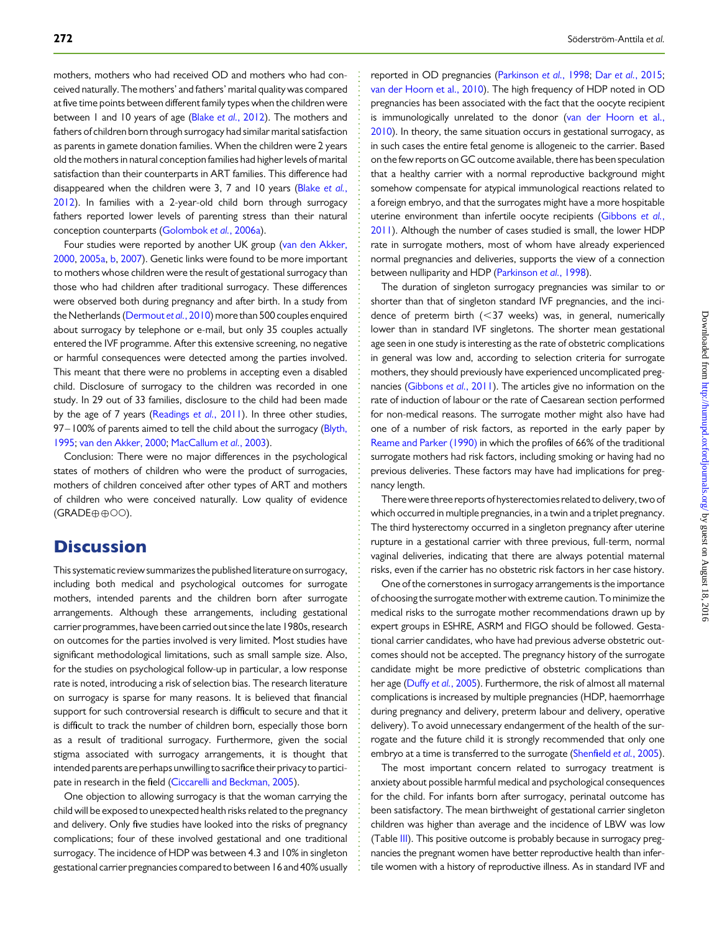mothers, mothers who had received OD and mothers who had conceived naturally. The mothers' and fathers' marital quality was compared at five time points between different family types when the children were between 1 and 10 years of age (Blake et al.[, 2012\)](#page-15-0). The mothers and fathers of children born through surrogacy had similar marital satisfaction as parents in gamete donation families. When the children were 2 years old the mothers in natural conception families had higher levels of marital satisfaction than their counterparts in ART families. This difference had disappeared when the children were 3, 7 and 10 years ([Blake](#page-15-0) et al., [2012](#page-15-0)). In families with a 2-year-old child born through surrogacy fathers reported lower levels of parenting stress than their natural conception counterparts ([Golombok](#page-15-0) et al., 2006a).

Four studies were reported by another UK group ([van den Akker,](#page-16-0) [2000](#page-16-0), [2005a](#page-16-0), [b](#page-16-0), [2007](#page-16-0)). Genetic links were found to be more important to mothers whose children were the result of gestational surrogacy than those who had children after traditional surrogacy. These differences were observed both during pregnancy and after birth. In a study from the Netherlands ([Dermout](#page-15-0) et al., 2010) more than 500 couples enquired about surrogacy by telephone or e-mail, but only 35 couples actually entered the IVF programme. After this extensive screening, no negative or harmful consequences were detected among the parties involved. This meant that there were no problems in accepting even a disabled child. Disclosure of surrogacy to the children was recorded in one study. In 29 out of 33 families, disclosure to the child had been made by the age of 7 years ([Readings](#page-16-0) et al., 2011). In three other studies, 97–100% of parents aimed to tell the child about the surrogacy ([Blyth,](#page-15-0) [1995](#page-15-0); [van den Akker, 2000;](#page-16-0) [MacCallum](#page-16-0) et al., 2003).

Conclusion: There were no major differences in the psychological states of mothers of children who were the product of surrogacies, mothers of children conceived after other types of ART and mothers of children who were conceived naturally. Low quality of evidence  $(GRADE@@OO)$ .

# **Discussion**

This systematic review summarizes the published literature on surrogacy, including both medical and psychological outcomes for surrogate mothers, intended parents and the children born after surrogate arrangements. Although these arrangements, including gestational carrier programmes, have been carried out since the late 1980s, research on outcomes for the parties involved is very limited. Most studies have significant methodological limitations, such as small sample size. Also, for the studies on psychological follow-up in particular, a low response rate is noted, introducing a risk of selection bias. The research literature on surrogacy is sparse for many reasons. It is believed that financial support for such controversial research is difficult to secure and that it is difficult to track the number of children born, especially those born as a result of traditional surrogacy. Furthermore, given the social stigma associated with surrogacy arrangements, it is thought that intended parents are perhaps unwilling to sacrifice their privacy to participate in research in the field [\(Ciccarelli and Beckman, 2005](#page-15-0)).

One objection to allowing surrogacy is that the woman carrying the child will be exposed to unexpected health risks related to the pregnancy and delivery. Only five studies have looked into the risks of pregnancy complications; four of these involved gestational and one traditional surrogacy. The incidence of HDP was between 4.3 and 10% in singleton gestational carrier pregnancies compared to between 16 and 40% usually

reported in OD pregnancies ([Parkinson](#page-16-0) et al., 1998; Dar et al.[, 2015;](#page-15-0) [van der Hoorn et al., 2010](#page-16-0)). The high frequency of HDP noted in OD pregnancies has been associated with the fact that the oocyte recipient is immunologically unrelated to the donor ([van der Hoorn et al.,](#page-16-0) [2010\)](#page-16-0). In theory, the same situation occurs in gestational surrogacy, as in such cases the entire fetal genome is allogeneic to the carrier. Based on the few reports on GC outcome available, there has been speculation that a healthy carrier with a normal reproductive background might somehow compensate for atypical immunological reactions related to a foreign embryo, and that the surrogates might have a more hospitable uterine environment than infertile oocyte recipients [\(Gibbons](#page-15-0) et al., [2011\)](#page-15-0). Although the number of cases studied is small, the lower HDP rate in surrogate mothers, most of whom have already experienced normal pregnancies and deliveries, supports the view of a connection between nulliparity and HDP ([Parkinson](#page-16-0) et al., 1998).

The duration of singleton surrogacy pregnancies was similar to or shorter than that of singleton standard IVF pregnancies, and the incidence of preterm birth  $(<$ 37 weeks) was, in general, numerically lower than in standard IVF singletons. The shorter mean gestational age seen in one study is interesting as the rate of obstetric complications in general was low and, according to selection criteria for surrogate mothers, they should previously have experienced uncomplicated preg-nancies [\(Gibbons](#page-15-0) et al., 2011). The articles give no information on the rate of induction of labour or the rate of Caesarean section performed for non-medical reasons. The surrogate mother might also have had one of a number of risk factors, as reported in the early paper by [Reame and Parker \(1990\)](#page-16-0) in which the profiles of 66% of the traditional surrogate mothers had risk factors, including smoking or having had no previous deliveries. These factors may have had implications for pregnancy length.

There were three reports of hysterectomies related to delivery, two of which occurred in multiple pregnancies, in a twin and a triplet pregnancy. The third hysterectomy occurred in a singleton pregnancy after uterine rupture in a gestational carrier with three previous, full-term, normal vaginal deliveries, indicating that there are always potential maternal risks, even if the carrier has no obstetric risk factors in her case history.

One of the cornerstones in surrogacy arrangements is the importance of choosing the surrogate mother with extreme caution. To minimize the medical risks to the surrogate mother recommendations drawn up by expert groups in ESHRE, ASRM and FIGO should be followed. Gestational carrier candidates, who have had previous adverse obstetric outcomes should not be accepted. The pregnancy history of the surrogate candidate might be more predictive of obstetric complications than her age (Duffy et al.[, 2005\)](#page-15-0). Furthermore, the risk of almost all maternal complications is increased by multiple pregnancies (HDP, haemorrhage during pregnancy and delivery, preterm labour and delivery, operative delivery). To avoid unnecessary endangerment of the health of the surrogate and the future child it is strongly recommended that only one embryo at a time is transferred to the surrogate [\(Shenfield](#page-16-0) et al., 2005).

The most important concern related to surrogacy treatment is anxiety about possible harmful medical and psychological consequences for the child. For infants born after surrogacy, perinatal outcome has been satisfactory. The mean birthweight of gestational carrier singleton children was higher than average and the incidence of LBW was low (Table [III\)](#page-9-0). This positive outcome is probably because in surrogacy pregnancies the pregnant women have better reproductive health than infertile women with a history of reproductive illness. As in standard IVF and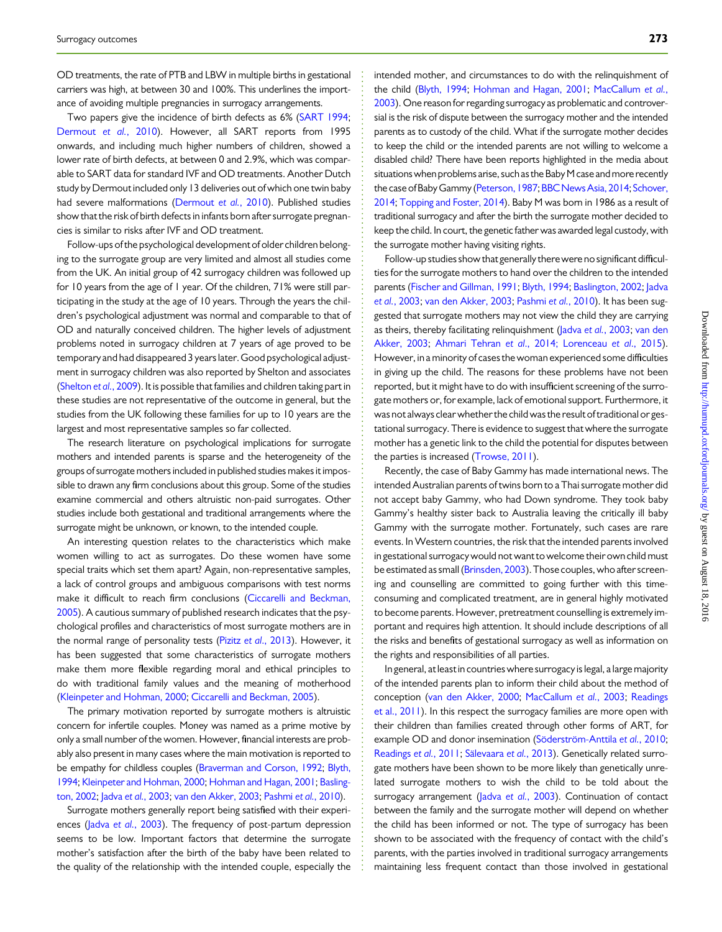OD treatments, the rate of PTB and LBW in multiple births in gestational carriers was high, at between 30 and 100%. This underlines the importance of avoiding multiple pregnancies in surrogacy arrangements.

Two papers give the incidence of birth defects as 6% [\(SART 1994](#page-15-0); [Dermout](#page-15-0) et al., 2010). However, all SART reports from 1995 onwards, and including much higher numbers of children, showed a lower rate of birth defects, at between 0 and 2.9%, which was comparable to SART data for standard IVF and OD treatments. Another Dutch study by Dermout included only 13 deliveries out of which one twin baby had severe malformations ([Dermout](#page-15-0) et al., 2010). Published studies show that the risk of birth defects in infants born after surrogate pregnancies is similar to risks after IVF and OD treatment.

Follow-ups of the psychological development of older children belonging to the surrogate group are very limited and almost all studies come from the UK. An initial group of 42 surrogacy children was followed up for 10 years from the age of 1 year. Of the children, 71% were still participating in the study at the age of 10 years. Through the years the children's psychological adjustment was normal and comparable to that of OD and naturally conceived children. The higher levels of adjustment problems noted in surrogacy children at 7 years of age proved to be temporary and had disappeared 3 years later. Good psychological adjustment in surrogacy children was also reported by Shelton and associates [\(Shelton](#page-16-0) et al., 2009). It is possible that families and children taking part in these studies are not representative of the outcome in general, but the studies from the UK following these families for up to 10 years are the largest and most representative samples so far collected.

The research literature on psychological implications for surrogate mothers and intended parents is sparse and the heterogeneity of the groups of surrogate mothers included in published studies makes it impossible to drawn any firm conclusions about this group. Some of the studies examine commercial and others altruistic non-paid surrogates. Other studies include both gestational and traditional arrangements where the surrogate might be unknown, or known, to the intended couple.

An interesting question relates to the characteristics which make women willing to act as surrogates. Do these women have some special traits which set them apart? Again, non-representative samples, a lack of control groups and ambiguous comparisons with test norms make it difficult to reach firm conclusions [\(Ciccarelli and Beckman,](#page-15-0) [2005](#page-15-0)). A cautious summary of published research indicates that the psychological profiles and characteristics of most surrogate mothers are in the normal range of personality tests (Pizitz et al[., 2013](#page-16-0)). However, it has been suggested that some characteristics of surrogate mothers make them more flexible regarding moral and ethical principles to do with traditional family values and the meaning of motherhood [\(Kleinpeter and Hohman, 2000](#page-16-0); [Ciccarelli and Beckman, 2005](#page-15-0)).

The primary motivation reported by surrogate mothers is altruistic concern for infertile couples. Money was named as a prime motive by only a small number of the women. However, financial interests are probably also present in many cases where the main motivation is reported to be empathy for childless couples ([Braverman and Corson, 1992](#page-15-0); [Blyth,](#page-15-0) [1994;](#page-15-0) [Kleinpeter and Hohman, 2000;](#page-16-0) [Hohman and Hagan, 2001;](#page-15-0) [Basling](#page-15-0)[ton, 2002;](#page-15-0) Jadva et al.[, 2003;](#page-15-0) [van den Akker, 2003;](#page-16-0) [Pashmi](#page-16-0) et al., 2010).

Surrogate mothers generally report being satisfied with their experiences (Jadva et al.[, 2003](#page-15-0)). The frequency of post-partum depression seems to be low. Important factors that determine the surrogate mother's satisfaction after the birth of the baby have been related to the quality of the relationship with the intended couple, especially the

intended mother, and circumstances to do with the relinquishment of the child [\(Blyth, 1994](#page-15-0); [Hohman and Hagan, 2001](#page-15-0); [MacCallum](#page-16-0) et al., [2003](#page-16-0)). One reason for regarding surrogacy as problematic and controversial is the risk of dispute between the surrogacy mother and the intended parents as to custody of the child. What if the surrogate mother decides to keep the child or the intended parents are not willing to welcome a disabled child? There have been reports highlighted in the media about situations when problems arise, such as the Baby M case and more recently the case of Baby Gammy [\(Peterson, 1987](#page-16-0); BBC News Asia, 2014; [Schover,](#page-16-0) [2014](#page-16-0); [Topping and Foster, 2014\)](#page-16-0). Baby M was born in 1986 as a result of traditional surrogacy and after the birth the surrogate mother decided to keep the child. In court, the genetic father was awarded legal custody, with the surrogate mother having visiting rights.

Follow-up studies show that generally therewere no significant difficulties for the surrogate mothers to hand over the children to the intended parents ([Fischer and Gillman, 1991](#page-15-0); [Blyth, 1994;](#page-15-0) [Baslington, 2002;](#page-15-0) [Jadva](#page-15-0) et al.[, 2003](#page-15-0); [van den Akker, 2003](#page-16-0); [Pashmi](#page-16-0) et al., 2010). It has been suggested that surrogate mothers may not view the child they are carrying as theirs, thereby facilitating relinquishment (Jadva et al.[, 2003;](#page-15-0) [van den](#page-16-0) [Akker, 2003](#page-16-0); [Ahmari Tehran](#page-15-0) et al., 2014; [Lorenceau](#page-16-0) et al., 2015). However, in a minority of cases the woman experienced some difficulties in giving up the child. The reasons for these problems have not been reported, but it might have to do with insufficient screening of the surrogate mothers or, for example, lack of emotional support. Furthermore, it was not always clear whether the child was the result of traditional or gestational surrogacy. There is evidence to suggest that where the surrogate mother has a genetic link to the child the potential for disputes between the parties is increased ([Trowse, 2011](#page-16-0)).

Recently, the case of Baby Gammy has made international news. The intended Australian parents of twins born to a Thai surrogate mother did not accept baby Gammy, who had Down syndrome. They took baby Gammy's healthy sister back to Australia leaving the critically ill baby Gammy with the surrogate mother. Fortunately, such cases are rare events. InWestern countries, the risk that the intended parents involved in gestational surrogacy would not want to welcome their own child must be estimated as small ([Brinsden, 2003](#page-15-0)). Those couples, who after screening and counselling are committed to going further with this timeconsuming and complicated treatment, are in general highly motivated to become parents. However, pretreatment counselling is extremely important and requires high attention. It should include descriptions of all the risks and benefits of gestational surrogacy as well as information on the rights and responsibilities of all parties.

In general, at least in countries where surrogacy is legal, a large majority of the intended parents plan to inform their child about the method of conception [\(van den Akker, 2000;](#page-16-0) [MacCallum](#page-16-0) et al., 2003; [Readings](#page-16-0) [et al., 2011](#page-16-0)). In this respect the surrogacy families are more open with their children than families created through other forms of ART, for example OD and donor insemination (Söderström-Anttila et al., 2010; [Readings](#page-16-0) et al., 2011; Sälevaara et al., 2013). Genetically related surrogate mothers have been shown to be more likely than genetically unrelated surrogate mothers to wish the child to be told about the surrogacy arrangement (Jadva et al.[, 2003](#page-15-0)). Continuation of contact between the family and the surrogate mother will depend on whether the child has been informed or not. The type of surrogacy has been shown to be associated with the frequency of contact with the child's parents, with the parties involved in traditional surrogacy arrangements maintaining less frequent contact than those involved in gestational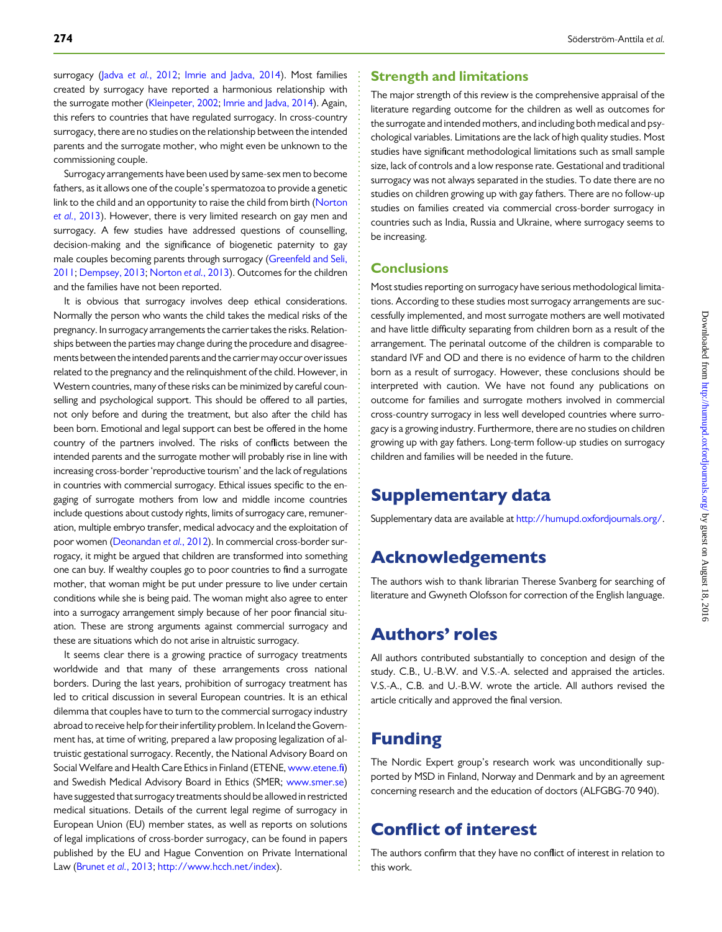surrogacy (Jadva et al.[, 2012;](#page-15-0) [Imrie and Jadva, 2014](#page-15-0)). Most families created by surrogacy have reported a harmonious relationship with the surrogate mother [\(Kleinpeter, 2002](#page-15-0); [Imrie and Jadva, 2014\)](#page-15-0). Again, this refers to countries that have regulated surrogacy. In cross-country surrogacy, there are no studies on the relationship between the intended parents and the surrogate mother, who might even be unknown to the commissioning couple.

Surrogacy arrangements have been used by same-sex men to become fathers, as it allows one of the couple's spermatozoa to provide a genetic link to the child and an opportunity to raise the child from birth ([Norton](#page-16-0) et al.[, 2013](#page-16-0)). However, there is very limited research on gay men and surrogacy. A few studies have addressed questions of counselling, decision-making and the significance of biogenetic paternity to gay male couples becoming parents through surrogacy [\(Greenfeld and Seli,](#page-15-0) [2011](#page-15-0); [Dempsey, 2013](#page-15-0); [Norton](#page-16-0) et al., 2013). Outcomes for the children and the families have not been reported.

It is obvious that surrogacy involves deep ethical considerations. Normally the person who wants the child takes the medical risks of the pregnancy. In surrogacy arrangements the carrier takes the risks. Relationships between the parties may change during the procedure and disagreements between the intended parents and the carrier may occur over issues related to the pregnancy and the relinquishment of the child. However, in Western countries, many of these risks can be minimized by careful counselling and psychological support. This should be offered to all parties, not only before and during the treatment, but also after the child has been born. Emotional and legal support can best be offered in the home country of the partners involved. The risks of conflicts between the intended parents and the surrogate mother will probably rise in line with increasing cross-border 'reproductive tourism' and the lack of regulations in countries with commercial surrogacy. Ethical issues specific to the engaging of surrogate mothers from low and middle income countries include questions about custody rights, limits of surrogacy care, remuneration, multiple embryo transfer, medical advocacy and the exploitation of poor women ([Deonandan](#page-15-0) et al., 2012). In commercial cross-border surrogacy, it might be argued that children are transformed into something one can buy. If wealthy couples go to poor countries to find a surrogate mother, that woman might be put under pressure to live under certain conditions while she is being paid. The woman might also agree to enter into a surrogacy arrangement simply because of her poor financial situation. These are strong arguments against commercial surrogacy and these are situations which do not arise in altruistic surrogacy.

It seems clear there is a growing practice of surrogacy treatments worldwide and that many of these arrangements cross national borders. During the last years, prohibition of surrogacy treatment has led to critical discussion in several European countries. It is an ethical dilemma that couples have to turn to the commercial surrogacy industry abroad to receive help for their infertility problem. In Iceland the Government has, at time of writing, prepared a law proposing legalization of altruistic gestational surrogacy. Recently, the National Advisory Board on Social Welfare and Health Care Ethics in Finland (ETENE, [www.etene.fi\)](http://www.etene.fi) and Swedish Medical Advisory Board in Ethics (SMER; [www.smer.se\)](http://www.smer.se) have suggested that surrogacy treatments should be allowed in restricted medical situations. Details of the current legal regime of surrogacy in European Union (EU) member states, as well as reports on solutions of legal implications of cross-border surrogacy, can be found in papers published by the EU and Hague Convention on Private International Law ([Brunet](#page-15-0) et al., 2013; <http://www.hcch.net/index>).

### Strength and limitations

The major strength of this review is the comprehensive appraisal of the literature regarding outcome for the children as well as outcomes for the surrogate and intended mothers, and including both medical and psychological variables. Limitations are the lack of high quality studies. Most studies have significant methodological limitations such as small sample size, lack of controls and a low response rate. Gestational and traditional surrogacy was not always separated in the studies. To date there are no studies on children growing up with gay fathers. There are no follow-up studies on families created via commercial cross-border surrogacy in countries such as India, Russia and Ukraine, where surrogacy seems to be increasing.

### **Conclusions**

Most studies reporting on surrogacy have serious methodological limitations. According to these studies most surrogacy arrangements are successfully implemented, and most surrogate mothers are well motivated and have little difficulty separating from children born as a result of the arrangement. The perinatal outcome of the children is comparable to standard IVF and OD and there is no evidence of harm to the children born as a result of surrogacy. However, these conclusions should be interpreted with caution. We have not found any publications on outcome for families and surrogate mothers involved in commercial cross-country surrogacy in less well developed countries where surrogacy is a growing industry. Furthermore, there are no studies on children growing up with gay fathers. Long-term follow-up studies on surrogacy children and families will be needed in the future.

# Supplementary data

[Supplementary data are available at](http://humupd.oxfordjournals.org/lookup/suppl/doi:10.1093/humupd/dmv046/-/DC1) [http://humupd.oxfordjournals.org/.](http://humupd.oxfordjournals.org/)

# Acknowledgements

The authors wish to thank librarian Therese Svanberg for searching of literature and Gwyneth Olofsson for correction of the English language.

# Authors' roles

All authors contributed substantially to conception and design of the study. C.B., U.-B.W. and V.S.-A. selected and appraised the articles. V.S.-A., C.B. and U.-B.W. wrote the article. All authors revised the article critically and approved the final version.

# Funding

The Nordic Expert group's research work was unconditionally supported by MSD in Finland, Norway and Denmark and by an agreement concerning research and the education of doctors (ALFGBG-70 940).

# Conflict of interest

The authors confirm that they have no conflict of interest in relation to this work.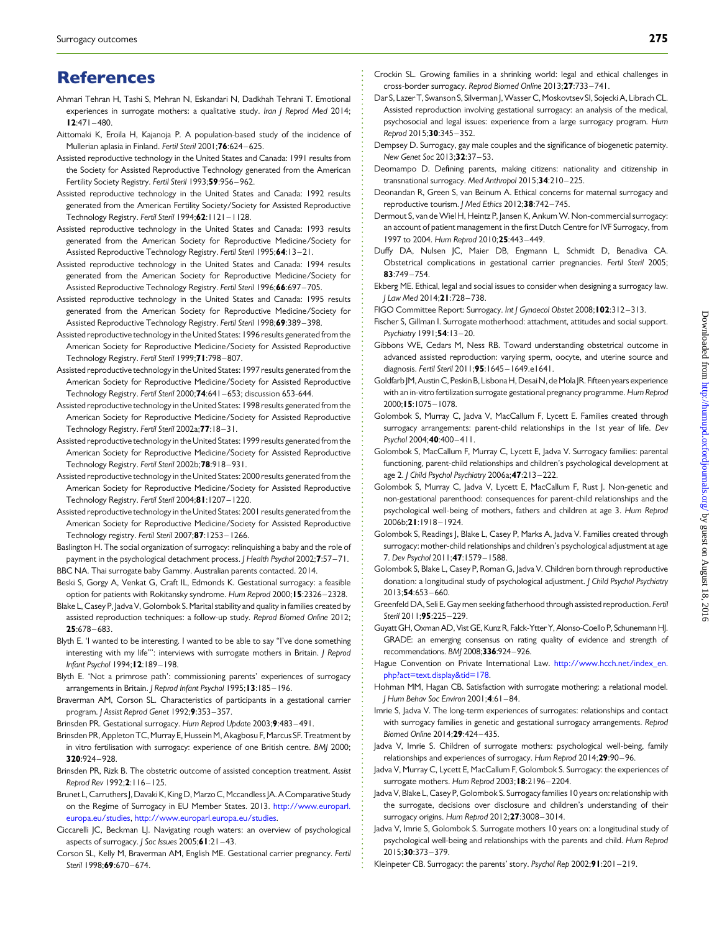# <span id="page-15-0"></span>References

- Ahmari Tehran H, Tashi S, Mehran N, Eskandari N, Dadkhah Tehrani T. Emotional experiences in surrogate mothers: a qualitative study. Iran J Reprod Med 2014;  $12.471 - 480$
- Aittomaki K, Eroila H, Kajanoja P. A population-based study of the incidence of Mullerian aplasia in Finland. Fertil Steril 2001;76:624– 625.
- Assisted reproductive technology in the United States and Canada: 1991 results from the Society for Assisted Reproductive Technology generated from the American Fertility Society Registry. Fertil Steril 1993;59:956– 962.
- Assisted reproductive technology in the United States and Canada: 1992 results generated from the American Fertility Society/Society for Assisted Reproductive Technology Registry. Fertil Steril 1994;62:1121-1128.
- Assisted reproductive technology in the United States and Canada: 1993 results generated from the American Society for Reproductive Medicine/Society for Assisted Reproductive Technology Registry. Fertil Steril 1995;64:13-21.
- Assisted reproductive technology in the United States and Canada: 1994 results generated from the American Society for Reproductive Medicine/Society for Assisted Reproductive Technology Registry. Fertil Steril 1996;66:697–705.
- Assisted reproductive technology in the United States and Canada: 1995 results generated from the American Society for Reproductive Medicine/Society for Assisted Reproductive Technology Registry. Fertil Steril 1998;69:389–398.
- Assisted reproductive technology in the United States: 1996 results generated from the American Society for Reproductive Medicine/Society for Assisted Reproductive Technology Registry. Fertil Steril 1999;71:798-807.
- Assisted reproductive technology in the United States: 1997 results generated from the American Society for Reproductive Medicine/Society for Assisted Reproductive Technology Registry. Fertil Steril 2000;74:641– 653; discussion 653-644.
- Assisted reproductive technology in the United States: 1998 results generated from the American Society for Reproductive Medicine/Society for Assisted Reproductive Technology Registry. Fertil Steril 2002a;77:18–31.
- Assisted reproductive technology in the United States: 1999 results generated from the American Society for Reproductive Medicine/Society for Assisted Reproductive Technology Registry. Fertil Steril 2002b;78:918 –931.
- Assisted reproductive technology in the United States: 2000 results generated from the American Society for Reproductive Medicine/Society for Assisted Reproductive Technology Registry. Fertil Steril 2004;81:1207 –1220.
- Assisted reproductive technology in the United States: 2001 results generated from the American Society for Reproductive Medicine/Society for Assisted Reproductive Technology registry. Fertil Steril 2007;87:1253– 1266.
- Baslington H. The social organization of surrogacy: relinquishing a baby and the role of payment in the psychological detachment process. J Health Psychol 2002;7:57-71.
- BBC NA. Thai surrogate baby Gammy. Australian parents contacted. 2014.
- Beski S, Gorgy A, Venkat G, Craft IL, Edmonds K. Gestational surrogacy: a feasible option for patients with Rokitansky syndrome. Hum Reprod 2000;15:2326– 2328.
- Blake L, Casey P, Jadva V, Golombok S. Marital stability and quality in families created by assisted reproduction techniques: a follow-up study. Reprod Biomed Online 2012; 25:678– 683.
- Blyth E. 'I wanted to be interesting. I wanted to be able to say "I've done something interesting with my life"': interviews with surrogate mothers in Britain. J Reprod Infant Psychol 1994;12:189– 198.
- Blyth E. 'Not a primrose path': commissioning parents' experiences of surrogacy arrangements in Britain. J Reprod Infant Psychol 1995; 13:185-196.
- Braverman AM, Corson SL. Characteristics of participants in a gestational carrier program. J Assist Reprod Genet 1992;9:353– 357.
- Brinsden PR. Gestational surrogacy. Hum Reprod Update 2003;9:483– 491.
- Brinsden PR, Appleton TC, Murray E, Hussein M, Akagbosu F, Marcus SF. Treatment by in vitro fertilisation with surrogacy: experience of one British centre. BMJ 2000; 320:924 –928.
- Brinsden PR, Rizk B. The obstetric outcome of assisted conception treatment. Assist Reprod Rev 1992; 2:116-125.
- Brunet L, Carruthers J, Davaki K, King D, Marzo C, Mccandless JA. A Comparative Study on the Regime of Surrogacy in EU Member States. 2013. [http://www.europarl.](http://www.europarl.europa.eu/studies) [europa.eu/studies,](http://www.europarl.europa.eu/studies) <http://www.europarl.europa.eu/studies>.
- Ciccarelli JC, Beckman LJ. Navigating rough waters: an overview of psychological aspects of surrogacy. J Soc Issues 2005;61:21-43.
- Corson SL, Kelly M, Braverman AM, English ME. Gestational carrier pregnancy. Fertil Steril 1998;69:670-674.
- Crockin SL. Growing families in a shrinking world: legal and ethical challenges in cross-border surrogacy. Reprod Biomed Online 2013;27:733–741.
- Dar S, Lazer T, Swanson S, Silverman J, Wasser C, Moskovtsev SI, Sojecki A, Librach CL. Assisted reproduction involving gestational surrogacy: an analysis of the medical, psychosocial and legal issues: experience from a large surrogacy program. Hum Reprod 2015;30:345 –352.
- Dempsey D. Surrogacy, gay male couples and the significance of biogenetic paternity. New Genet Soc 2013;32:37– 53.
- Deomampo D. Defining parents, making citizens: nationality and citizenship in transnational surrogacy. Med Anthropol 2015;34:210-225.
- Deonandan R, Green S, van Beinum A. Ethical concerns for maternal surrogacy and reproductive tourism. J Med Ethics 2012;38:742-745.
- Dermout S, van de Wiel H, Heintz P, Jansen K, Ankum W. Non-commercial surrogacy: an account of patient management in the first Dutch Centre for IVF Surrogacy, from 1997 to 2004. Hum Reprod 2010;25:443-449.
- Duffy DA, Nulsen JC, Maier DB, Engmann L, Schmidt D, Benadiva CA. Obstetrical complications in gestational carrier pregnancies. Fertil Steril 2005; 83:749– 754.
- Ekberg ME. Ethical, legal and social issues to consider when designing a surrogacy law. J Law Med 2014;21:728– 738.
- FIGO Committee Report: Surrogacy. Int | Gynaecol Obstet 2008; 102:312-313.
- Fischer S, Gillman I. Surrogate motherhood: attachment, attitudes and social support. Psychiatry 1991:54:13-20.
- Gibbons WE, Cedars M, Ness RB. Toward understanding obstetrical outcome in advanced assisted reproduction: varying sperm, oocyte, and uterine source and diagnosis. Fertil Steril 2011;95:1645-1649.e1641.
- Goldfarb JM, Austin C, Peskin B, Lisbona H, Desai N, de Mola JR. Fifteen years experience with an in-vitro fertilization surrogate gestational pregnancy programme. Hum Reprod 2000;15:1075–1078.
- Golombok S, Murray C, Jadva V, MacCallum F, Lycett E. Families created through surrogacy arrangements: parent-child relationships in the 1st year of life. Dev Psychol 2004;40:400-411.
- Golombok S, MacCallum F, Murray C, Lycett E, Jadva V. Surrogacy families: parental functioning, parent-child relationships and children's psychological development at age 2. J Child Psychol Psychiatry 2006a;47:213 –222.
- Golombok S, Murray C, Jadva V, Lycett E, MacCallum F, Rust J. Non-genetic and non-gestational parenthood: consequences for parent-child relationships and the psychological well-being of mothers, fathers and children at age 3. Hum Reprod 2006b;21:1918 –1924.
- Golombok S, Readings J, Blake L, Casey P, Marks A, Jadva V. Families created through surrogacy: mother-child relationships and children's psychological adjustment at age 7. Dev Psychol 2011;47:1579-1588.
- Golombok S, Blake L, Casey P, Roman G, Jadva V. Children born through reproductive donation: a longitudinal study of psychological adjustment. J Child Psychol Psychiatry 2013;54:653 –660.
- Greenfeld DA, Seli E. Gay men seeking fatherhood through assisted reproduction. Fertil Steril 2011:95:225-229.
- Guyatt GH, Oxman AD, Vist GE, Kunz R, Falck-Ytter Y, Alonso-Coello P, Schunemann HJ. GRADE: an emerging consensus on rating quality of evidence and strength of recommendations. BMJ 2008;336:924–926.
- Hague Convention on Private International Law. [http://www.hcch.net/index\\_en.](http://www.hcch.net/index_en.php?act=text.display&tid=178) [php?act=text.display&tid=178.](http://www.hcch.net/index_en.php?act=text.display&tid=178)
- Hohman MM, Hagan CB. Satisfaction with surrogate mothering: a relational model. J Hum Behav Soc Environ 2001;4:61–84.
- Imrie S, Jadva V. The long-term experiences of surrogates: relationships and contact with surrogacy families in genetic and gestational surrogacy arrangements. Reprod Biomed Online 2014;29:424– 435.
- Jadva V, Imrie S. Children of surrogate mothers: psychological well-being, family relationships and experiences of surrogacy. Hum Reprod 2014;29:90-96.
- Jadva V, Murray C, Lycett E, MacCallum F, Golombok S. Surrogacy: the experiences of surrogate mothers. Hum Reprod 2003;18:2196–2204.
- Jadva V, Blake L, Casey P, Golombok S. Surrogacy families 10 years on: relationship with the surrogate, decisions over disclosure and children's understanding of their surrogacy origins. Hum Reprod 2012;27:3008– 3014.
- Jadva V, Imrie S, Golombok S. Surrogate mothers 10 years on: a longitudinal study of psychological well-being and relationships with the parents and child. Hum Reprod 2015;30:373 –379.
- Kleinpeter CB. Surrogacy: the parents' story. Psychol Rep 2002;91:201–219.